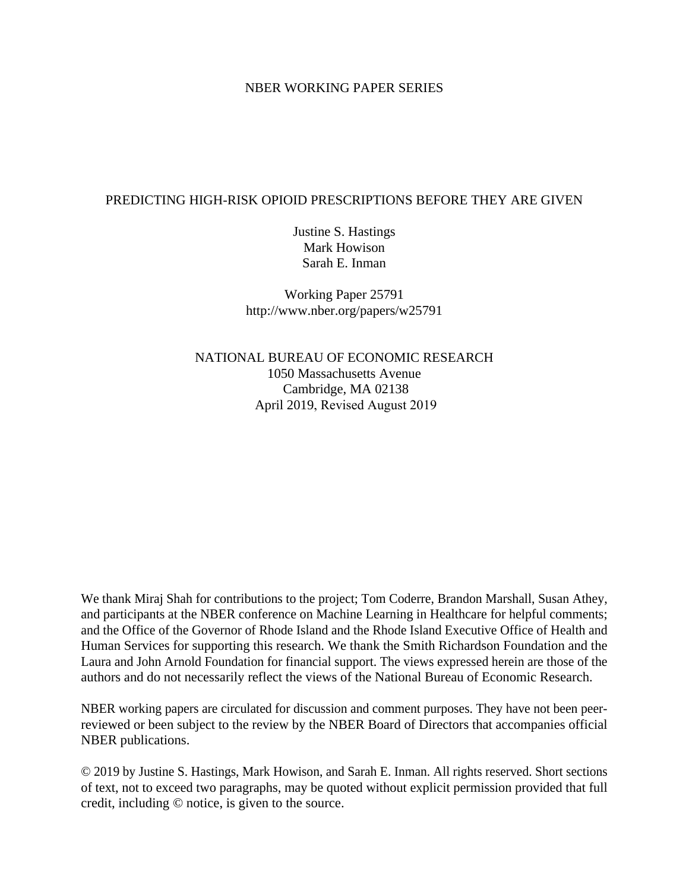#### NBER WORKING PAPER SERIES

### PREDICTING HIGH-RISK OPIOID PRESCRIPTIONS BEFORE THEY ARE GIVEN

Justine S. Hastings Mark Howison Sarah E. Inman

Working Paper 25791 http://www.nber.org/papers/w25791

NATIONAL BUREAU OF ECONOMIC RESEARCH 1050 Massachusetts Avenue Cambridge, MA 02138 April 2019, Revised August 2019

We thank Miraj Shah for contributions to the project; Tom Coderre, Brandon Marshall, Susan Athey, and participants at the NBER conference on Machine Learning in Healthcare for helpful comments; and the Office of the Governor of Rhode Island and the Rhode Island Executive Office of Health and Human Services for supporting this research. We thank the Smith Richardson Foundation and the Laura and John Arnold Foundation for financial support. The views expressed herein are those of the authors and do not necessarily reflect the views of the National Bureau of Economic Research.

NBER working papers are circulated for discussion and comment purposes. They have not been peerreviewed or been subject to the review by the NBER Board of Directors that accompanies official NBER publications.

© 2019 by Justine S. Hastings, Mark Howison, and Sarah E. Inman. All rights reserved. Short sections of text, not to exceed two paragraphs, may be quoted without explicit permission provided that full credit, including © notice, is given to the source.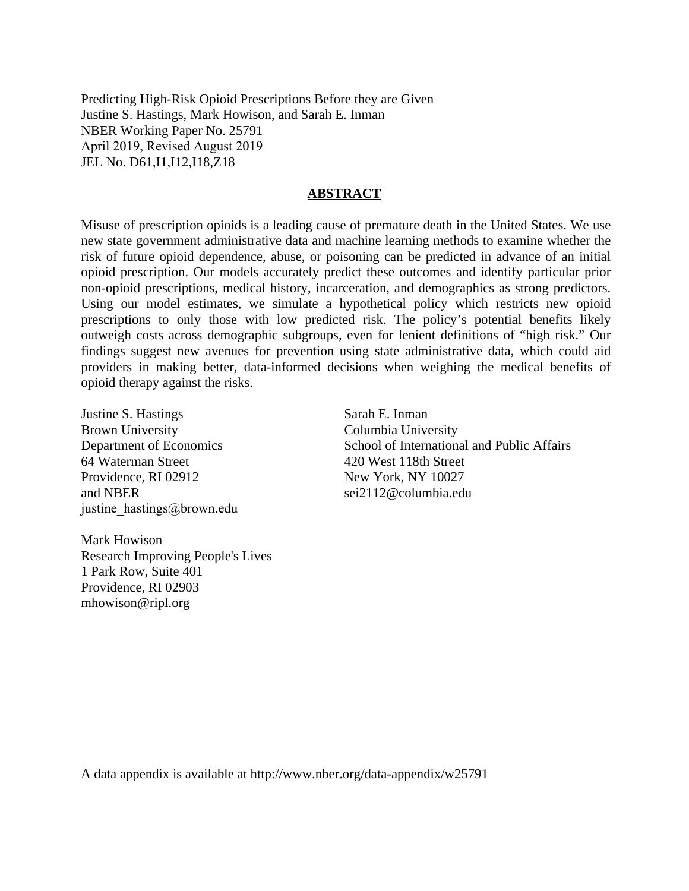Predicting High-Risk Opioid Prescriptions Before they are Given Justine S. Hastings, Mark Howison, and Sarah E. Inman NBER Working Paper No. 25791 April 2019, Revised August 2019 JEL No. D61,I1,I12,I18,Z18

#### **ABSTRACT**

Misuse of prescription opioids is a leading cause of premature death in the United States. We use new state government administrative data and machine learning methods to examine whether the risk of future opioid dependence, abuse, or poisoning can be predicted in advance of an initial opioid prescription. Our models accurately predict these outcomes and identify particular prior non-opioid prescriptions, medical history, incarceration, and demographics as strong predictors. Using our model estimates, we simulate a hypothetical policy which restricts new opioid prescriptions to only those with low predicted risk. The policy's potential benefits likely outweigh costs across demographic subgroups, even for lenient definitions of "high risk." Our findings suggest new avenues for prevention using state administrative data, which could aid providers in making better, data-informed decisions when weighing the medical benefits of opioid therapy against the risks.

Justine S. Hastings Brown University Department of Economics 64 Waterman Street Providence, RI 02912 and NBER justine hastings@brown.edu

Sarah E. Inman Columbia University School of International and Public Affairs 420 West 118th Street New York, NY 10027 sei2112@columbia.edu

Mark Howison Research Improving People's Lives 1 Park Row, Suite 401 Providence, RI 02903 mhowison@ripl.org

A data appendix is available at http://www.nber.org/data-appendix/w25791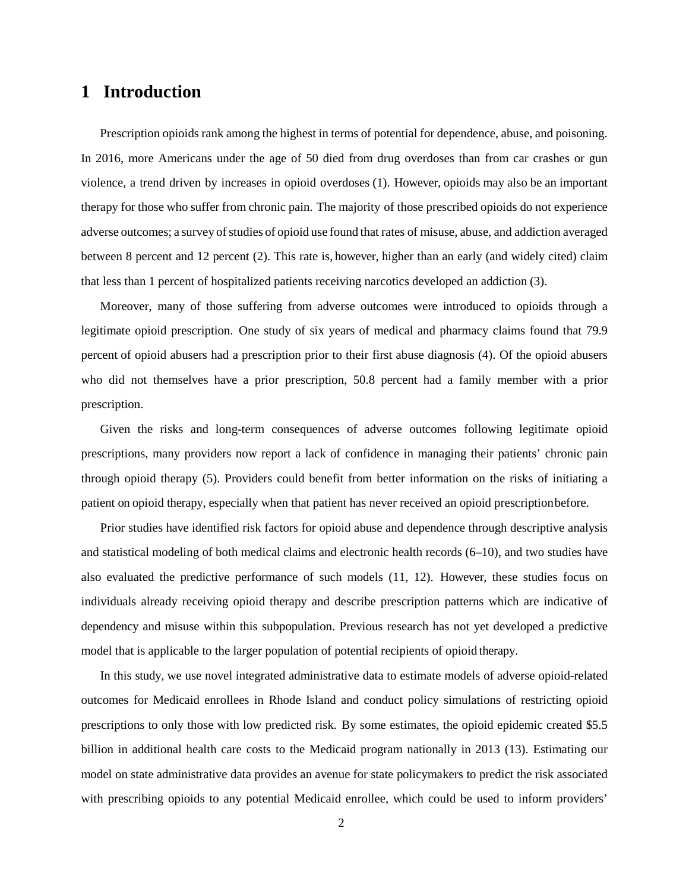# **1 Introduction**

Prescription opioids rank among the highest in terms of potential for dependence, abuse, and poisoning. In 2016, more Americans under the age of 50 died from drug overdoses than from car crashes or gun violence, a trend driven by increases in opioid overdoses (1). However, opioids may also be an important therapy for those who suffer from chronic pain. The majority of those prescribed opioids do not experience adverse outcomes; a survey of studies of opioid use found that rates of misuse, abuse, and addiction averaged between 8 percent and 12 percent (2). This rate is, however, higher than an early (and widely cited) claim that less than 1 percent of hospitalized patients receiving narcotics developed an addiction (3).

Moreover, many of those suffering from adverse outcomes were introduced to opioids through a legitimate opioid prescription. One study of six years of medical and pharmacy claims found that 79.9 percent of opioid abusers had a prescription prior to their first abuse diagnosis (4). Of the opioid abusers who did not themselves have a prior prescription, 50.8 percent had a family member with a prior prescription.

Given the risks and long-term consequences of adverse outcomes following legitimate opioid prescriptions, many providers now report a lack of confidence in managing their patients' chronic pain through opioid therapy (5). Providers could benefit from better information on the risks of initiating a patient on opioid therapy, especially when that patient has never received an opioid prescription before.

Prior studies have identified risk factors for opioid abuse and dependence through descriptive analysis and statistical modeling of both medical claims and electronic health records (6–10), and two studies have also evaluated the predictive performance of such models (11, 12). However, these studies focus on individuals already receiving opioid therapy and describe prescription patterns which are indicative of dependency and misuse within this subpopulation. Previous research has not yet developed a predictive model that is applicable to the larger population of potential recipients of opioid therapy.

In this study, we use novel integrated administrative data to estimate models of adverse opioid-related outcomes for Medicaid enrollees in Rhode Island and conduct policy simulations of restricting opioid prescriptions to only those with low predicted risk. By some estimates, the opioid epidemic created \$5.5 billion in additional health care costs to the Medicaid program nationally in 2013 (13). Estimating our model on state administrative data provides an avenue for state policymakers to predict the risk associated with prescribing opioids to any potential Medicaid enrollee, which could be used to inform providers'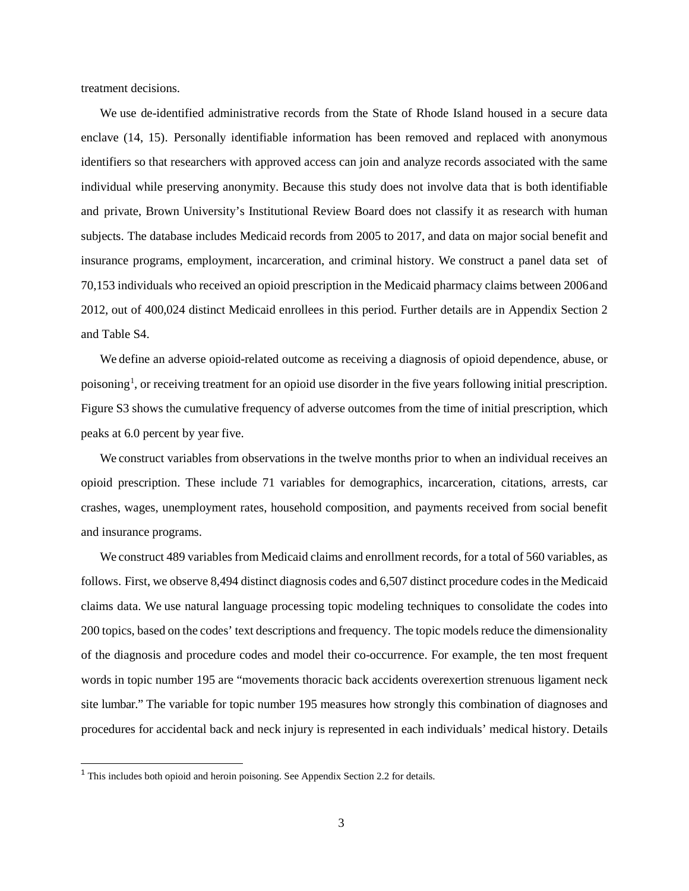treatment decisions.

We use de-identified administrative records from the State of Rhode Island housed in a secure data enclave (14, 15). Personally identifiable information has been removed and replaced with anonymous identifiers so that researchers with approved access can join and analyze records associated with the same individual while preserving anonymity. Because this study does not involve data that is both identifiable and private, Brown University's Institutional Review Board does not classify it as research with human subjects. The database includes Medicaid records from 2005 to 2017, and data on major social benefit and insurance programs, employment, incarceration, and criminal history. We construct a panel data set of 70,153 individuals who received an opioid prescription in the Medicaid pharmacy claims between 2006and 2012, out of 400,024 distinct Medicaid enrollees in this period. Further details are in Appendix Section 2 and Table S4.

We define an adverse opioid-related outcome as receiving a diagnosis of opioid dependence, abuse, or poisoning<sup>[1](#page-3-0)</sup>, or receiving treatment for an opioid use disorder in the five years following initial prescription. Figure S3 shows the cumulative frequency of adverse outcomes from the time of initial prescription, which peaks at 6.0 percent by year five.

We construct variables from observations in the twelve months prior to when an individual receives an opioid prescription. These include 71 variables for demographics, incarceration, citations, arrests, car crashes, wages, unemployment rates, household composition, and payments received from social benefit and insurance programs.

We construct 489 variables from Medicaid claims and enrollment records, for a total of 560 variables, as follows. First, we observe 8,494 distinct diagnosis codes and 6,507 distinct procedure codesin the Medicaid claims data. We use natural language processing topic modeling techniques to consolidate the codes into 200 topics, based on the codes' text descriptions and frequency. The topic models reduce the dimensionality of the diagnosis and procedure codes and model their co-occurrence. For example, the ten most frequent words in topic number 195 are "movements thoracic back accidents overexertion strenuous ligament neck site lumbar." The variable for topic number 195 measures how strongly this combination of diagnoses and procedures for accidental back and neck injury is represented in each individuals' medical history. Details

 $\overline{\phantom{a}}$ 

<span id="page-3-0"></span> $1$  This includes both opioid and heroin poisoning. See Appendix Section 2.2 for details.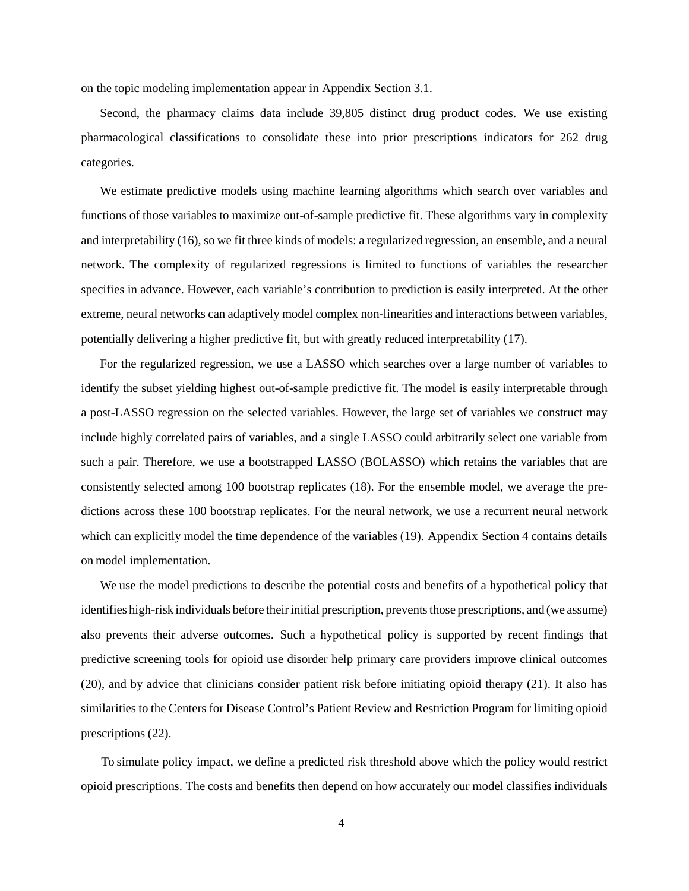on the topic modeling implementation appear in Appendix Section 3.1.

Second, the pharmacy claims data include 39,805 distinct drug product codes. We use existing pharmacological classifications to consolidate these into prior prescriptions indicators for 262 drug categories.

We estimate predictive models using machine learning algorithms which search over variables and functions of those variables to maximize out-of-sample predictive fit. These algorithms vary in complexity and interpretability (16), so we fit three kinds of models: a regularized regression, an ensemble, and a neural network. The complexity of regularized regressions is limited to functions of variables the researcher specifies in advance. However, each variable's contribution to prediction is easily interpreted. At the other extreme, neural networks can adaptively model complex non-linearities and interactions between variables, potentially delivering a higher predictive fit, but with greatly reduced interpretability (17).

For the regularized regression, we use a LASSO which searches over a large number of variables to identify the subset yielding highest out-of-sample predictive fit. The model is easily interpretable through a post-LASSO regression on the selected variables. However, the large set of variables we construct may include highly correlated pairs of variables, and a single LASSO could arbitrarily select one variable from such a pair. Therefore, we use a bootstrapped LASSO (BOLASSO) which retains the variables that are consistently selected among 100 bootstrap replicates (18). For the ensemble model, we average the predictions across these 100 bootstrap replicates. For the neural network, we use a recurrent neural network which can explicitly model the time dependence of the variables (19). Appendix Section 4 contains details on model implementation.

We use the model predictions to describe the potential costs and benefits of a hypothetical policy that identifies high-risk individuals before their initial prescription, prevents those prescriptions, and (we assume) also prevents their adverse outcomes. Such a hypothetical policy is supported by recent findings that predictive screening tools for opioid use disorder help primary care providers improve clinical outcomes (20), and by advice that clinicians consider patient risk before initiating opioid therapy (21). It also has similarities to the Centers for Disease Control's Patient Review and Restriction Program for limiting opioid prescriptions (22).

To simulate policy impact, we define a predicted risk threshold above which the policy would restrict opioid prescriptions. The costs and benefits then depend on how accurately our model classifies individuals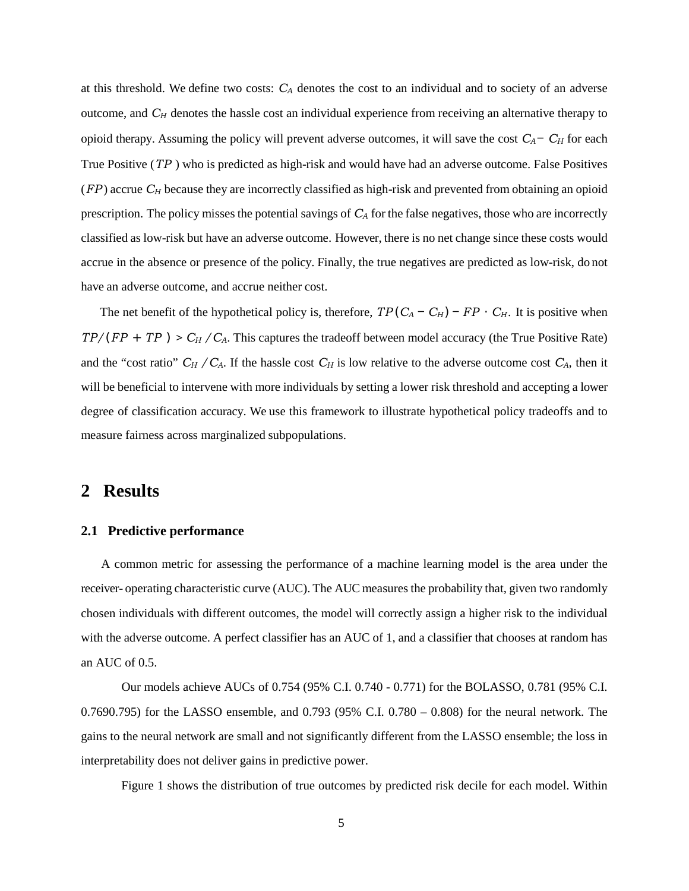at this threshold. We define two costs: *CA* denotes the cost to an individual and to society of an adverse outcome, and C<sub>H</sub> denotes the hassle cost an individual experience from receiving an alternative therapy to opioid therapy. Assuming the policy will prevent adverse outcomes, it will save the cost *CA − CH* for each True Positive (*TP* ) who is predicted as high-risk and would have had an adverse outcome. False Positives (*FP* ) accrue *CH* because they are incorrectly classified as high-risk and prevented from obtaining an opioid prescription. The policy misses the potential savings of  $C_A$  for the false negatives, those who are incorrectly classified as low-risk but have an adverse outcome. However, there is no net change since these costs would accrue in the absence or presence of the policy. Finally, the true negatives are predicted as low-risk, do not have an adverse outcome, and accrue neither cost.

The net benefit of the hypothetical policy is, therefore,  $TP(C_A - C_H) - FP \cdot C_H$ . It is positive when *TP/*(*FP* + *TP* ) *> CH /CA*. This captures the tradeoff between model accuracy (the True Positive Rate) and the "cost ratio"  $C_H$  /  $C_A$ . If the hassle cost  $C_H$  is low relative to the adverse outcome cost  $C_A$ , then it will be beneficial to intervene with more individuals by setting a lower risk threshold and accepting a lower degree of classification accuracy. We use this framework to illustrate hypothetical policy tradeoffs and to measure fairness across marginalized subpopulations.

# **2 Results**

#### **2.1 Predictive performance**

 A common metric for assessing the performance of a machine learning model is the area under the receiver- operating characteristic curve (AUC). The AUC measures the probability that, given two randomly chosen individuals with different outcomes, the model will correctly assign a higher risk to the individual with the adverse outcome. A perfect classifier has an AUC of 1, and a classifier that chooses at random has an AUC of 0.5.

Our models achieve AUCs of 0.754 (95% C.I. 0.740 - 0.771) for the BOLASSO, 0.781 (95% C.I. 0.7690.795) for the LASSO ensemble, and 0.793 (95% C.I. 0.780 – 0.808) for the neural network. The gains to the neural network are small and not significantly different from the LASSO ensemble; the loss in interpretability does not deliver gains in predictive power.

Figure 1 shows the distribution of true outcomes by predicted risk decile for each model. Within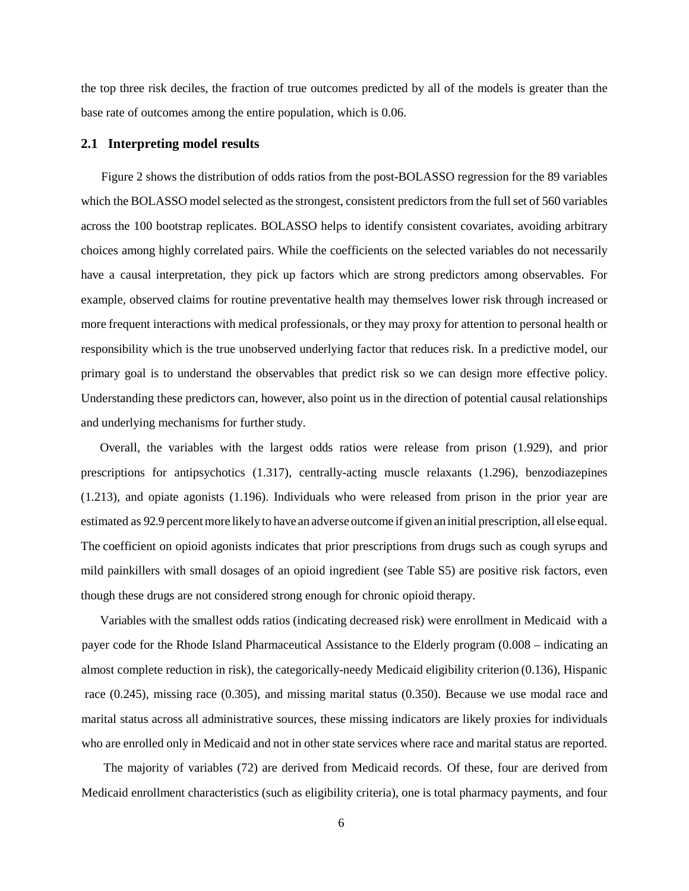the top three risk deciles, the fraction of true outcomes predicted by all of the models is greater than the base rate of outcomes among the entire population, which is 0.06.

#### **2.1 Interpreting model results**

Figure 2 shows the distribution of odds ratios from the post-BOLASSO regression for the 89 variables which the BOLASSO model selected as the strongest, consistent predictors from the full set of 560 variables across the 100 bootstrap replicates. BOLASSO helps to identify consistent covariates, avoiding arbitrary choices among highly correlated pairs. While the coefficients on the selected variables do not necessarily have a causal interpretation, they pick up factors which are strong predictors among observables. For example, observed claims for routine preventative health may themselves lower risk through increased or more frequent interactions with medical professionals, or they may proxy for attention to personal health or responsibility which is the true unobserved underlying factor that reduces risk. In a predictive model, our primary goal is to understand the observables that predict risk so we can design more effective policy. Understanding these predictors can, however, also point us in the direction of potential causal relationships and underlying mechanisms for further study.

Overall, the variables with the largest odds ratios were release from prison (1.929), and prior prescriptions for antipsychotics (1.317), centrally-acting muscle relaxants (1.296), benzodiazepines (1.213), and opiate agonists (1.196). Individuals who were released from prison in the prior year are estimated as 92.9 percent more likely to have an adverse outcome if given an initial prescription, all else equal. The coefficient on opioid agonists indicates that prior prescriptions from drugs such as cough syrups and mild painkillers with small dosages of an opioid ingredient (see Table S5) are positive risk factors, even though these drugs are not considered strong enough for chronic opioid therapy.

Variables with the smallest odds ratios (indicating decreased risk) were enrollment in Medicaid with a payer code for the Rhode Island Pharmaceutical Assistance to the Elderly program (0.008 – indicating an almost complete reduction in risk), the categorically-needy Medicaid eligibility criterion (0.136), Hispanic race (0.245), missing race (0.305), and missing marital status (0.350). Because we use modal race and marital status across all administrative sources, these missing indicators are likely proxies for individuals who are enrolled only in Medicaid and not in other state services where race and marital status are reported.

The majority of variables (72) are derived from Medicaid records. Of these, four are derived from Medicaid enrollment characteristics (such as eligibility criteria), one is total pharmacy payments, and four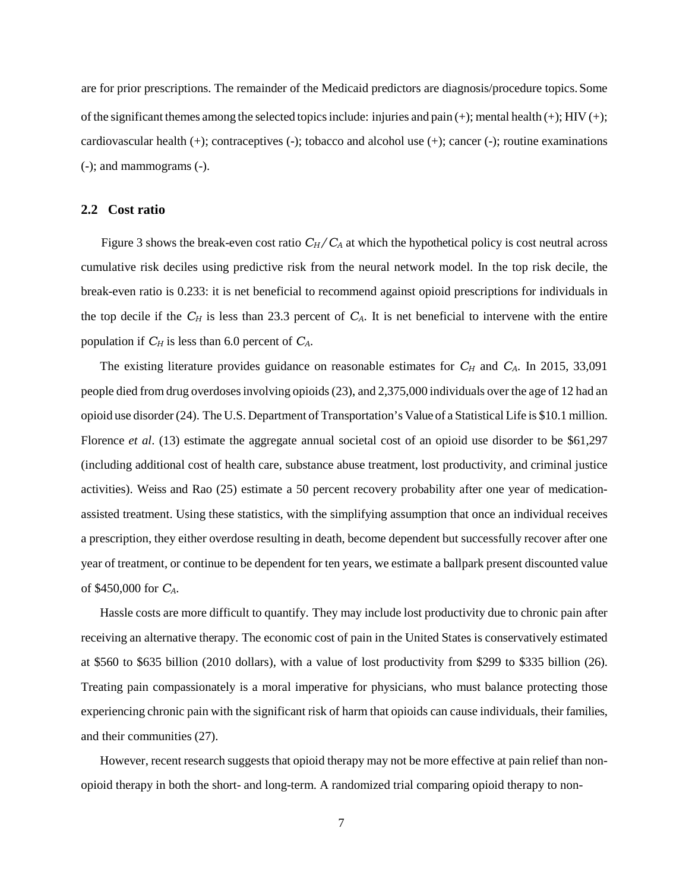are for prior prescriptions. The remainder of the Medicaid predictors are diagnosis/procedure topics. Some of the significant themes among the selected topics include: injuries and pain  $(+)$ ; mental health  $(+)$ ; HIV  $(+)$ ; cardiovascular health (+); contraceptives (-); tobacco and alcohol use (+); cancer (-); routine examinations (-); and mammograms (-).

#### **2.2 Cost ratio**

Figure 3 shows the break-even cost ratio  $C_H/C_A$  at which the hypothetical policy is cost neutral across cumulative risk deciles using predictive risk from the neural network model. In the top risk decile, the break-even ratio is 0.233: it is net beneficial to recommend against opioid prescriptions for individuals in the top decile if the  $C_H$  is less than 23.3 percent of  $C_A$ . It is net beneficial to intervene with the entire population if *CH* is less than 6.0 percent of *CA*.

The existing literature provides guidance on reasonable estimates for  $C_H$  and  $C_A$ . In 2015, 33,091 people died from drug overdoses involving opioids (23), and 2,375,000 individuals over the age of 12 had an opioid use disorder (24). The U.S. Department of Transportation's Value of a Statistical Life is \$10.1 million. Florence *et al.* (13) estimate the aggregate annual societal cost of an opioid use disorder to be \$61,297 (including additional cost of health care, substance abuse treatment, lost productivity, and criminal justice activities). Weiss and Rao (25) estimate a 50 percent recovery probability after one year of medicationassisted treatment. Using these statistics, with the simplifying assumption that once an individual receives a prescription, they either overdose resulting in death, become dependent but successfully recover after one year of treatment, or continue to be dependent for ten years, we estimate a ballpark present discounted value of \$450,000 for *CA*.

Hassle costs are more difficult to quantify. They may include lost productivity due to chronic pain after receiving an alternative therapy. The economic cost of pain in the United States is conservatively estimated at \$560 to \$635 billion (2010 dollars), with a value of lost productivity from \$299 to \$335 billion (26). Treating pain compassionately is a moral imperative for physicians, who must balance protecting those experiencing chronic pain with the significant risk of harm that opioids can cause individuals, their families, and their communities (27).

However, recent research suggests that opioid therapy may not be more effective at pain relief than nonopioid therapy in both the short- and long-term. A randomized trial comparing opioid therapy to non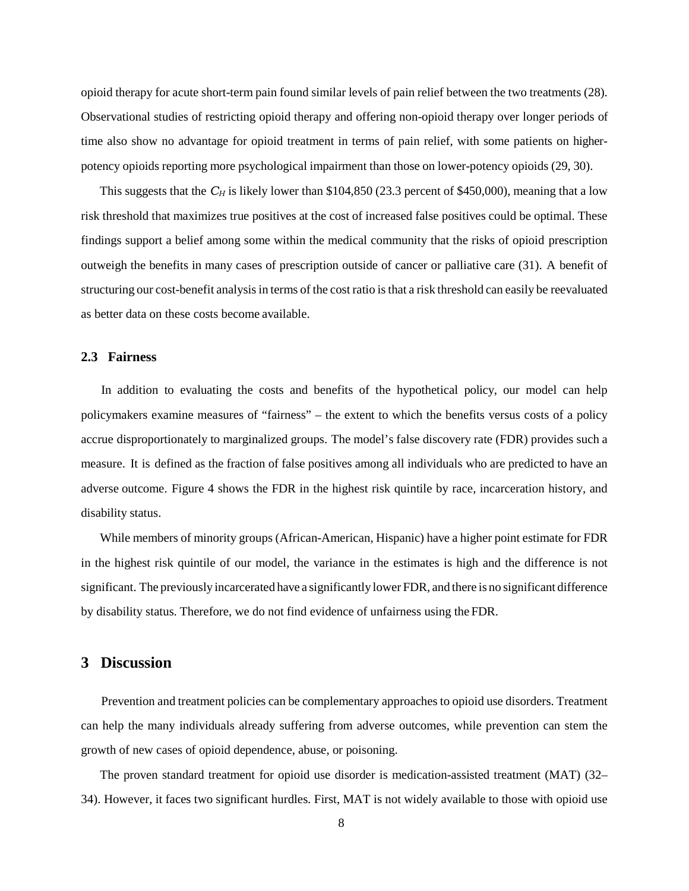opioid therapy for acute short-term pain found similar levels of pain relief between the two treatments (28). Observational studies of restricting opioid therapy and offering non-opioid therapy over longer periods of time also show no advantage for opioid treatment in terms of pain relief, with some patients on higherpotency opioids reporting more psychological impairment than those on lower-potency opioids (29, 30).

This suggests that the *C<sub>H</sub>* is likely lower than \$104,850 (23.3 percent of \$450,000), meaning that a low risk threshold that maximizes true positives at the cost of increased false positives could be optimal. These findings support a belief among some within the medical community that the risks of opioid prescription outweigh the benefits in many cases of prescription outside of cancer or palliative care (31). A benefit of structuring our cost-benefit analysisin terms of the cost ratio isthat a risk threshold can easily be reevaluated as better data on these costs become available.

#### **2.3 Fairness**

In addition to evaluating the costs and benefits of the hypothetical policy, our model can help policymakers examine measures of "fairness" – the extent to which the benefits versus costs of a policy accrue disproportionately to marginalized groups. The model's false discovery rate (FDR) provides such a measure. It is defined as the fraction of false positives among all individuals who are predicted to have an adverse outcome. Figure 4 shows the FDR in the highest risk quintile by race, incarceration history, and disability status.

While members of minority groups (African-American, Hispanic) have a higher point estimate for FDR in the highest risk quintile of our model, the variance in the estimates is high and the difference is not significant. The previously incarcerated have a significantly lower FDR, and there is no significant difference by disability status. Therefore, we do not find evidence of unfairness using the FDR.

### **3 Discussion**

Prevention and treatment policies can be complementary approaches to opioid use disorders. Treatment can help the many individuals already suffering from adverse outcomes, while prevention can stem the growth of new cases of opioid dependence, abuse, or poisoning.

The proven standard treatment for opioid use disorder is medication-assisted treatment (MAT) (32– 34). However, it faces two significant hurdles. First, MAT is not widely available to those with opioid use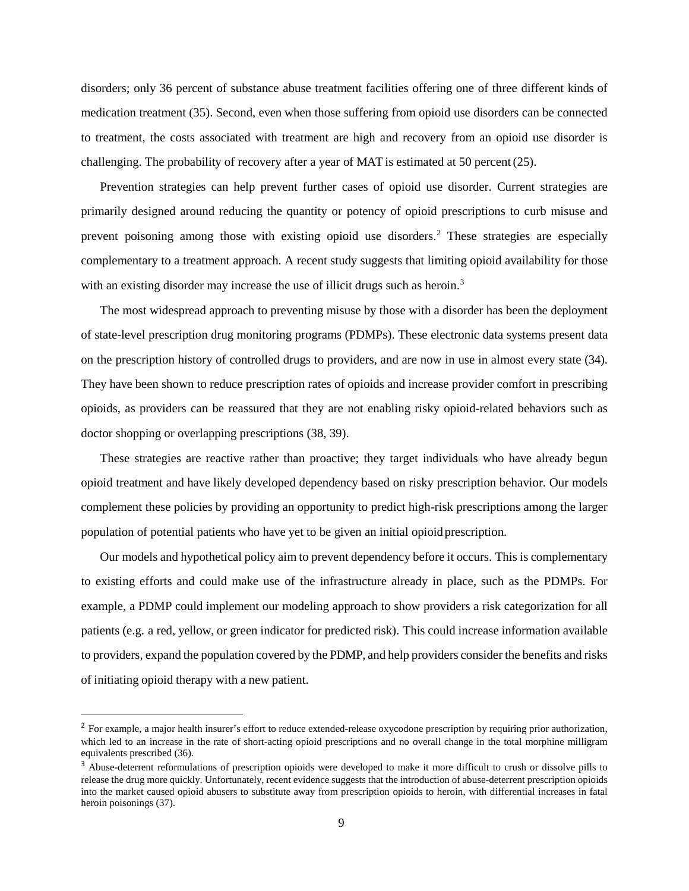disorders; only 36 percent of substance abuse treatment facilities offering one of three different kinds of medication treatment (35). Second, even when those suffering from opioid use disorders can be connected to treatment, the costs associated with treatment are high and recovery from an opioid use disorder is challenging. The probability of recovery after a year of MAT is estimated at 50 percent(25).

Prevention strategies can help prevent further cases of opioid use disorder. Current strategies are primarily designed around reducing the quantity or potency of opioid prescriptions to curb misuse and prevent poisoning among those with existing opioid use disorders.<sup>[2](#page-9-0)</sup> These strategies are especially complementary to a treatment approach. A recent study suggests that limiting opioid availability for those with an existing disorder may increase the use of illicit drugs such as heroin.<sup>[3](#page-9-1)</sup>

The most widespread approach to preventing misuse by those with a disorder has been the deployment of state-level prescription drug monitoring programs (PDMPs). These electronic data systems present data on the prescription history of controlled drugs to providers, and are now in use in almost every state (34). They have been shown to reduce prescription rates of opioids and increase provider comfort in prescribing opioids, as providers can be reassured that they are not enabling risky opioid-related behaviors such as doctor shopping or overlapping prescriptions (38, 39).

These strategies are reactive rather than proactive; they target individuals who have already begun opioid treatment and have likely developed dependency based on risky prescription behavior. Our models complement these policies by providing an opportunity to predict high-risk prescriptions among the larger population of potential patients who have yet to be given an initial opioid prescription.

Our models and hypothetical policy aim to prevent dependency before it occurs. This is complementary to existing efforts and could make use of the infrastructure already in place, such as the PDMPs. For example, a PDMP could implement our modeling approach to show providers a risk categorization for all patients (e.g. a red, yellow, or green indicator for predicted risk). This could increase information available to providers, expand the population covered by the PDMP, and help providers consider the benefits and risks of initiating opioid therapy with a new patient.

l

<span id="page-9-0"></span><sup>&</sup>lt;sup>2</sup> For example, a major health insurer's effort to reduce extended-release oxycodone prescription by requiring prior authorization, which led to an increase in the rate of short-acting opioid prescriptions and no overall change in the total morphine milligram equivalents prescribed (36).

<span id="page-9-1"></span><sup>&</sup>lt;sup>3</sup> Abuse-deterrent reformulations of prescription opioids were developed to make it more difficult to crush or dissolve pills to release the drug more quickly. Unfortunately, recent evidence suggests that the introduction of abuse-deterrent prescription opioids into the market caused opioid abusers to substitute away from prescription opioids to heroin, with differential increases in fatal heroin poisonings (37).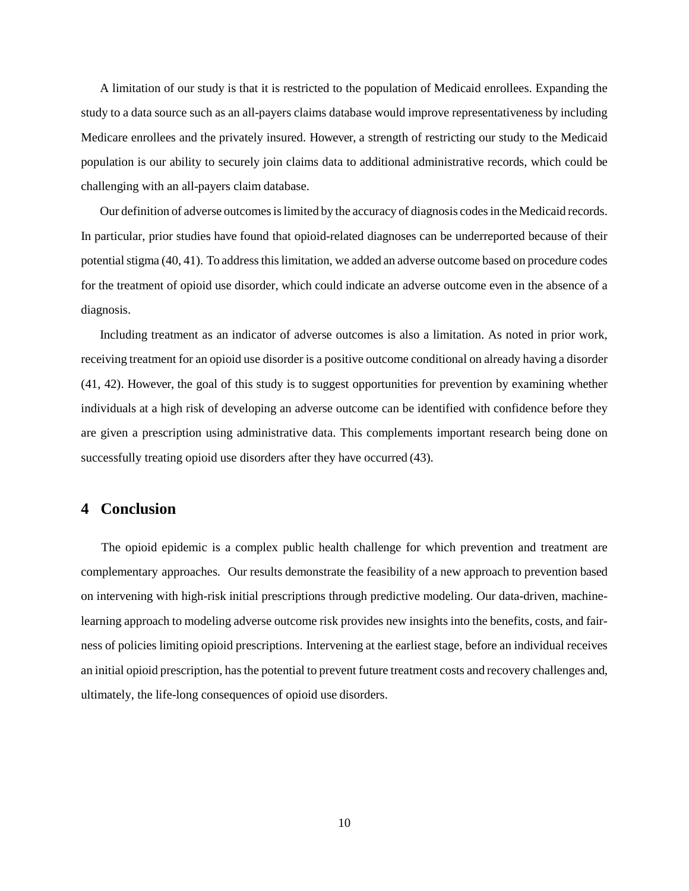A limitation of our study is that it is restricted to the population of Medicaid enrollees. Expanding the study to a data source such as an all-payers claims database would improve representativeness by including Medicare enrollees and the privately insured. However, a strength of restricting our study to the Medicaid population is our ability to securely join claims data to additional administrative records, which could be challenging with an all-payers claim database.

Our definition of adverse outcomes islimited by the accuracy of diagnosis codesin the Medicaid records. In particular, prior studies have found that opioid-related diagnoses can be underreported because of their potential stigma (40, 41). To address thislimitation, we added an adverse outcome based on procedure codes for the treatment of opioid use disorder, which could indicate an adverse outcome even in the absence of a diagnosis.

Including treatment as an indicator of adverse outcomes is also a limitation. As noted in prior work, receiving treatment for an opioid use disorder is a positive outcome conditional on already having a disorder (41, 42). However, the goal of this study is to suggest opportunities for prevention by examining whether individuals at a high risk of developing an adverse outcome can be identified with confidence before they are given a prescription using administrative data. This complements important research being done on successfully treating opioid use disorders after they have occurred (43).

### **4 Conclusion**

The opioid epidemic is a complex public health challenge for which prevention and treatment are complementary approaches. Our results demonstrate the feasibility of a new approach to prevention based on intervening with high-risk initial prescriptions through predictive modeling. Our data-driven, machinelearning approach to modeling adverse outcome risk provides new insights into the benefits, costs, and fairness of policies limiting opioid prescriptions. Intervening at the earliest stage, before an individual receives an initial opioid prescription, has the potential to prevent future treatment costs and recovery challenges and, ultimately, the life-long consequences of opioid use disorders.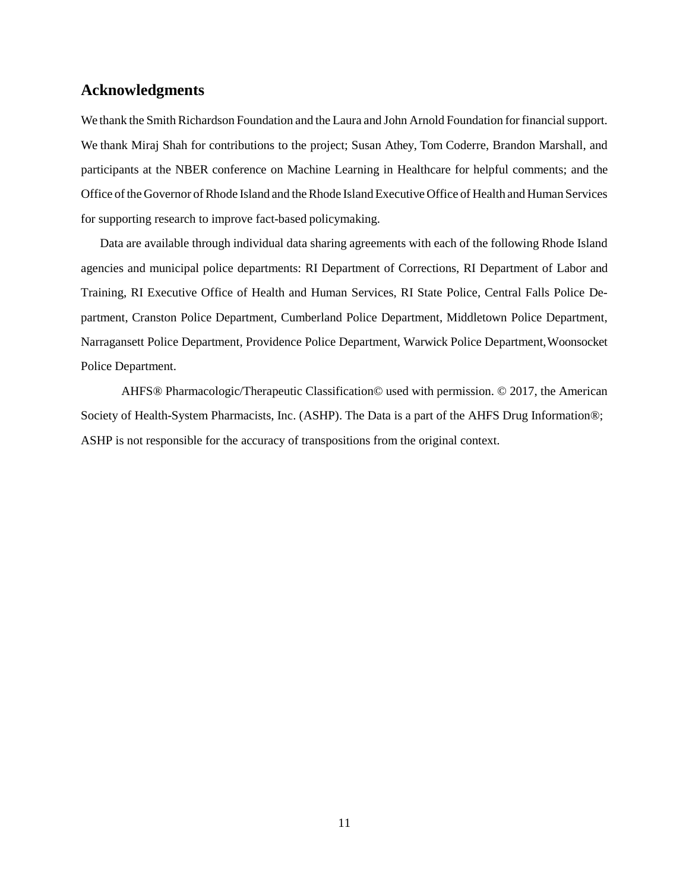### **Acknowledgments**

We thank the Smith Richardson Foundation and the Laura and John Arnold Foundation for financial support. We thank Miraj Shah for contributions to the project; Susan Athey, Tom Coderre, Brandon Marshall, and participants at the NBER conference on Machine Learning in Healthcare for helpful comments; and the Office of the Governor of Rhode Island and the Rhode Island Executive Office of Health and Human Services for supporting research to improve fact-based policymaking.

Data are available through individual data sharing agreements with each of the following Rhode Island agencies and municipal police departments: RI Department of Corrections, RI Department of Labor and Training, RI Executive Office of Health and Human Services, RI State Police, Central Falls Police Department, Cranston Police Department, Cumberland Police Department, Middletown Police Department, Narragansett Police Department, Providence Police Department, Warwick Police Department,Woonsocket Police Department.

AHFS® Pharmacologic/Therapeutic Classification© used with permission. © 2017, the American Society of Health-System Pharmacists, Inc. (ASHP). The Data is a part of the AHFS Drug Information®; ASHP is not responsible for the accuracy of transpositions from the original context.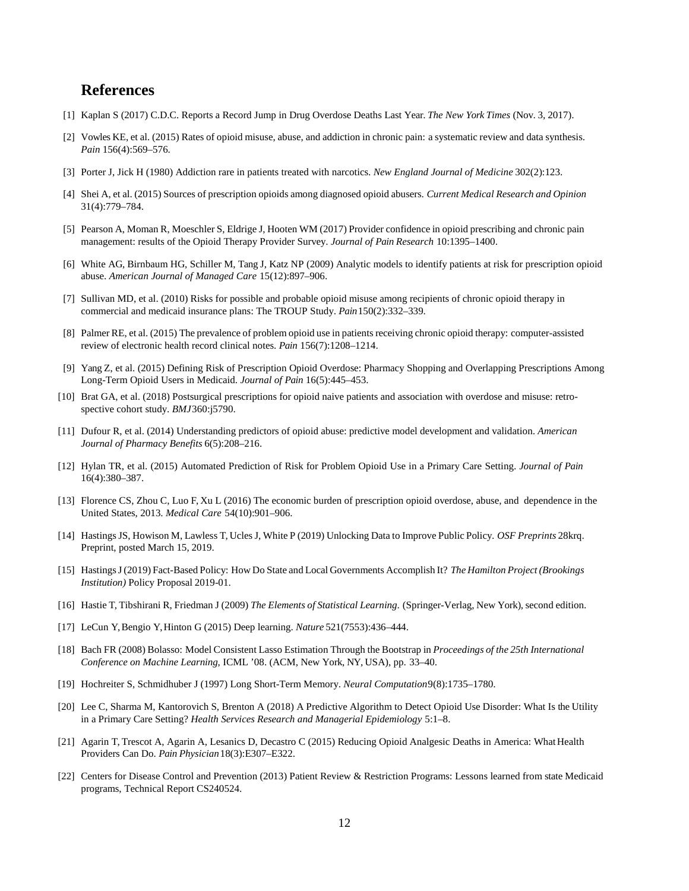### **References**

- [1] Kaplan S (2017) C.D.C. Reports a Record Jump in Drug Overdose Deaths Last Year. *The New York Times* (Nov. 3, 2017).
- [2] Vowles KE, et al. (2015) Rates of opioid misuse, abuse, and addiction in chronic pain: a systematic review and data synthesis. *Pain* 156(4):569–576.
- [3] Porter J, Jick H (1980) Addiction rare in patients treated with narcotics. *New England Journal of Medicine* 302(2):123.
- [4] Shei A, et al. (2015) Sources of prescription opioids among diagnosed opioid abusers. *Current Medical Research and Opinion* 31(4):779–784.
- [5] Pearson A, Moman R, Moeschler S, Eldrige J, Hooten WM (2017) Provider confidence in opioid prescribing and chronic pain management: results of the Opioid Therapy Provider Survey. *Journal of Pain Research* 10:1395–1400.
- [6] White AG, Birnbaum HG, Schiller M, Tang J, Katz NP (2009) Analytic models to identify patients at risk for prescription opioid abuse. *American Journal of Managed Care* 15(12):897–906.
- [7] Sullivan MD, et al. (2010) Risks for possible and probable opioid misuse among recipients of chronic opioid therapy in commercial and medicaid insurance plans: The TROUP Study. *Pain*150(2):332–339.
- [8] Palmer RE, et al. (2015) The prevalence of problem opioid use in patients receiving chronic opioid therapy: computer-assisted review of electronic health record clinical notes. *Pain* 156(7):1208–1214.
- [9] Yang Z, et al. (2015) Defining Risk of Prescription Opioid Overdose: Pharmacy Shopping and Overlapping Prescriptions Among Long-Term Opioid Users in Medicaid. *Journal of Pain* 16(5):445–453.
- [10] Brat GA, et al. (2018) Postsurgical prescriptions for opioid naive patients and association with overdose and misuse: retrospective cohort study. *BMJ*360:j5790.
- [11] Dufour R, et al. (2014) Understanding predictors of opioid abuse: predictive model development and validation. *American Journal of Pharmacy Benefits* 6(5):208–216.
- [12] Hylan TR, et al. (2015) Automated Prediction of Risk for Problem Opioid Use in a Primary Care Setting. *Journal of Pain* 16(4):380–387.
- [13] Florence CS, Zhou C, Luo F, Xu L (2016) The economic burden of prescription opioid overdose, abuse, and dependence in the United States, 2013. *Medical Care* 54(10):901–906.
- [14] Hastings JS, Howison M, Lawless T, Ucles J, White P (2019) Unlocking Data to Improve Public Policy. *OSF Preprints* 28krq. Preprint, posted March 15, 2019.
- [15] Hastings J (2019) Fact-Based Policy: How Do State and Local Governments Accomplish It? *The Hamilton Project (Brookings Institution)* Policy Proposal 2019-01.
- [16] Hastie T, Tibshirani R, Friedman J (2009) *The Elements of Statistical Learning*. (Springer-Verlag, New York), second edition.
- [17] LeCun Y, Bengio Y, Hinton G (2015) Deep learning. *Nature* 521(7553):436–444.
- [18] Bach FR (2008) Bolasso: Model Consistent Lasso Estimation Through the Bootstrap in *Proceedings of the 25th International Conference on Machine Learning*, ICML '08. (ACM, New York, NY, USA), pp. 33–40.
- [19] Hochreiter S, Schmidhuber J (1997) Long Short-Term Memory. *Neural Computation*9(8):1735–1780.
- [20] Lee C, Sharma M, Kantorovich S, Brenton A (2018) A Predictive Algorithm to Detect Opioid Use Disorder: What Is the Utility in a Primary Care Setting? *Health Services Research and Managerial Epidemiology* 5:1–8.
- [21] Agarin T, Trescot A, Agarin A, Lesanics D, Decastro C (2015) Reducing Opioid Analgesic Deaths in America: WhatHealth Providers Can Do. *Pain Physician*18(3):E307–E322.
- [22] Centers for Disease Control and Prevention (2013) Patient Review & Restriction Programs: Lessons learned from state Medicaid programs, Technical Report CS240524.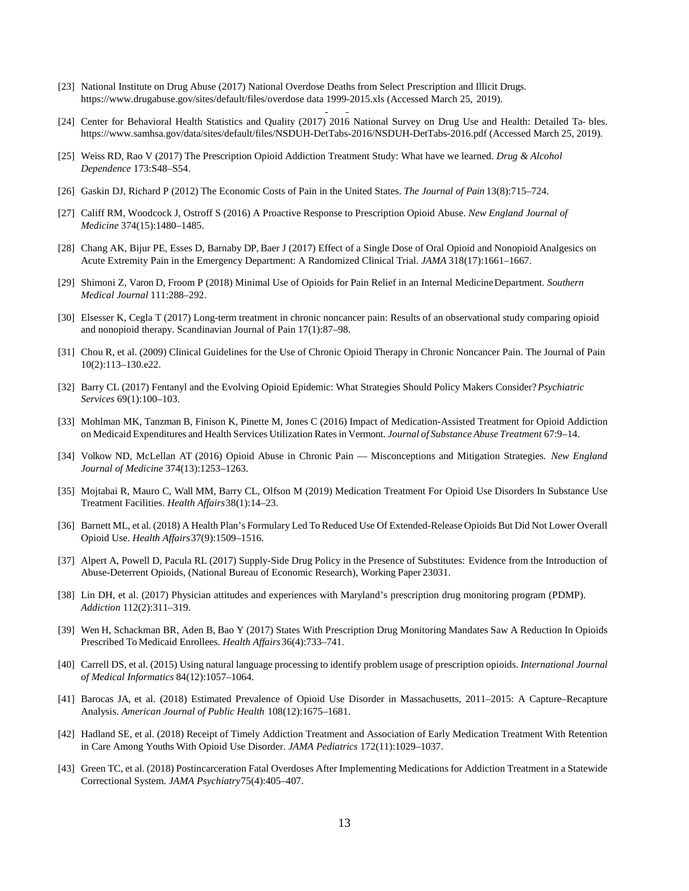- [23] National Institute on Drug Abuse (2017) National Overdose Deaths from Select Prescription and Illicit Drugs. [https://www.d](http://www.drugabuse.gov/sites/default/files/overdose)ruga[buse.gov/sites/default/files/overdose d](http://www.drugabuse.gov/sites/default/files/overdose)ata 1999-2015.xls (Accessed March 25, 2019).
- [24] Center for Behavioral Health Statistics and Quality (2017) 2016 National Survey on Drug Use and Health: Detailed Ta- bles. [https://www.samhsa.gov/data/sites/default/files/NSDUH-DetTabs-2016/NSDUH-DetTabs-2016.pdf](http://www.samhsa.gov/data/sites/default/files/NSDUH-DetTabs-2016/NSDUH-DetTabs-2016.pdf) (Accessed March 25, 2019).
- [25] Weiss RD, Rao V (2017) The Prescription Opioid Addiction Treatment Study: What have we learned. *Drug & Alcohol Dependence* 173:S48–S54.
- [26] Gaskin DJ, Richard P (2012) The Economic Costs of Pain in the United States. *The Journal of Pain* 13(8):715–724.
- [27] Califf RM, Woodcock J, Ostroff S (2016) A Proactive Response to Prescription Opioid Abuse. *New England Journal of Medicine* 374(15):1480–1485.
- [28] Chang AK, Bijur PE, Esses D, Barnaby DP, Baer J (2017) Effect of a Single Dose of Oral Opioid and Nonopioid Analgesics on Acute Extremity Pain in the Emergency Department: A Randomized Clinical Trial. *JAMA* 318(17):1661–1667.
- [29] Shimoni Z, Varon D, Froom P (2018) Minimal Use of Opioids for Pain Relief in an Internal MedicineDepartment. *Southern Medical Journal* 111:288–292.
- [30] Elsesser K, Cegla T (2017) Long-term treatment in chronic noncancer pain: Results of an observational study comparing opioid and nonopioid therapy. Scandinavian Journal of Pain 17(1):87–98.
- [31] Chou R, et al. (2009) Clinical Guidelines for the Use of Chronic Opioid Therapy in Chronic Noncancer Pain. The Journal of Pain 10(2):113–130.e22.
- [32] Barry CL (2017) Fentanyl and the Evolving Opioid Epidemic: What Strategies Should Policy Makers Consider?*Psychiatric Services* 69(1):100–103.
- [33] Mohlman MK, Tanzman B, Finison K, Pinette M, Jones C (2016) Impact of Medication-Assisted Treatment for Opioid Addiction on Medicaid Expenditures and Health Services Utilization Ratesin Vermont. *Journal of Substance Abuse Treatment* 67:9–14.
- [34] Volkow ND, McLellan AT (2016) Opioid Abuse in Chronic Pain Misconceptions and Mitigation Strategies. *New England Journal of Medicine* 374(13):1253–1263.
- [35] Mojtabai R, Mauro C, Wall MM, Barry CL, Olfson M (2019) Medication Treatment For Opioid Use Disorders In Substance Use Treatment Facilities. *Health Affairs*38(1):14–23.
- [36] Barnett ML, et al. (2018) A Health Plan's Formulary Led To Reduced Use Of Extended-Release Opioids But Did Not Lower Overall Opioid Use. *Health Affairs*37(9):1509–1516.
- [37] Alpert A, Powell D, Pacula RL (2017) Supply-Side Drug Policy in the Presence of Substitutes: Evidence from the Introduction of Abuse-Deterrent Opioids, (National Bureau of Economic Research), Working Paper 23031.
- [38] Lin DH, et al. (2017) Physician attitudes and experiences with Maryland's prescription drug monitoring program (PDMP). *Addiction* 112(2):311–319.
- [39] Wen H, Schackman BR, Aden B, Bao Y (2017) States With Prescription Drug Monitoring Mandates Saw A Reduction In Opioids Prescribed To Medicaid Enrollees. *Health Affairs*36(4):733–741.
- [40] Carrell DS, et al. (2015) Using natural language processing to identify problem usage of prescription opioids. *International Journal of Medical Informatics* 84(12):1057–1064.
- [41] Barocas JA, et al. (2018) Estimated Prevalence of Opioid Use Disorder in Massachusetts, 2011–2015: A Capture–Recapture Analysis. *American Journal of Public Health* 108(12):1675–1681.
- [42] Hadland SE, et al. (2018) Receipt of Timely Addiction Treatment and Association of Early Medication Treatment With Retention in Care Among Youths With Opioid Use Disorder. *JAMA Pediatrics* 172(11):1029–1037.
- [43] Green TC, et al. (2018) Postincarceration Fatal Overdoses After Implementing Medications for Addiction Treatment in a Statewide Correctional System. *JAMA Psychiatry*75(4):405–407.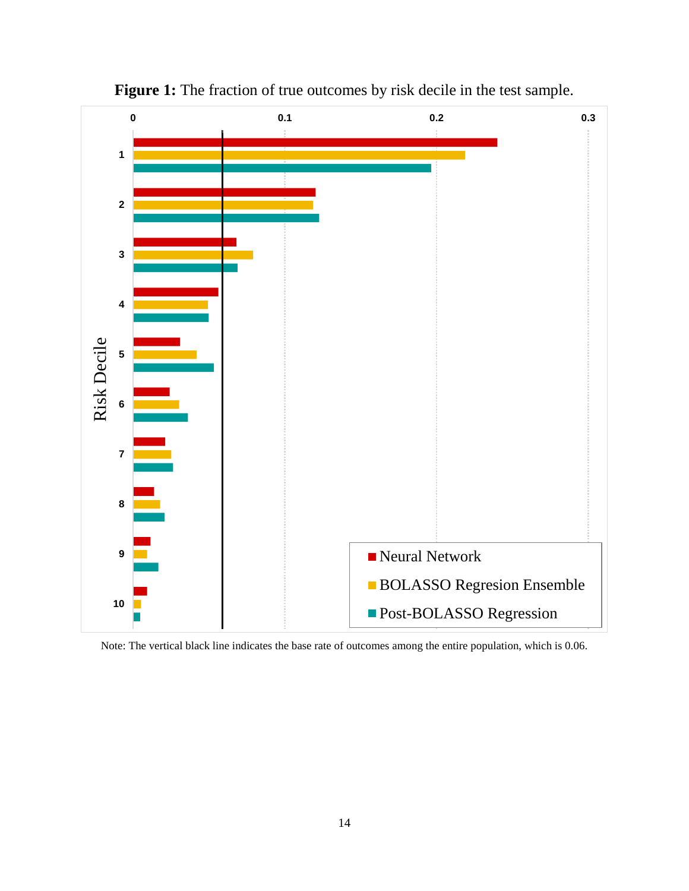

Figure 1: The fraction of true outcomes by risk decile in the test sample.

Note: The vertical black line indicates the base rate of outcomes among the entire population, which is 0.06.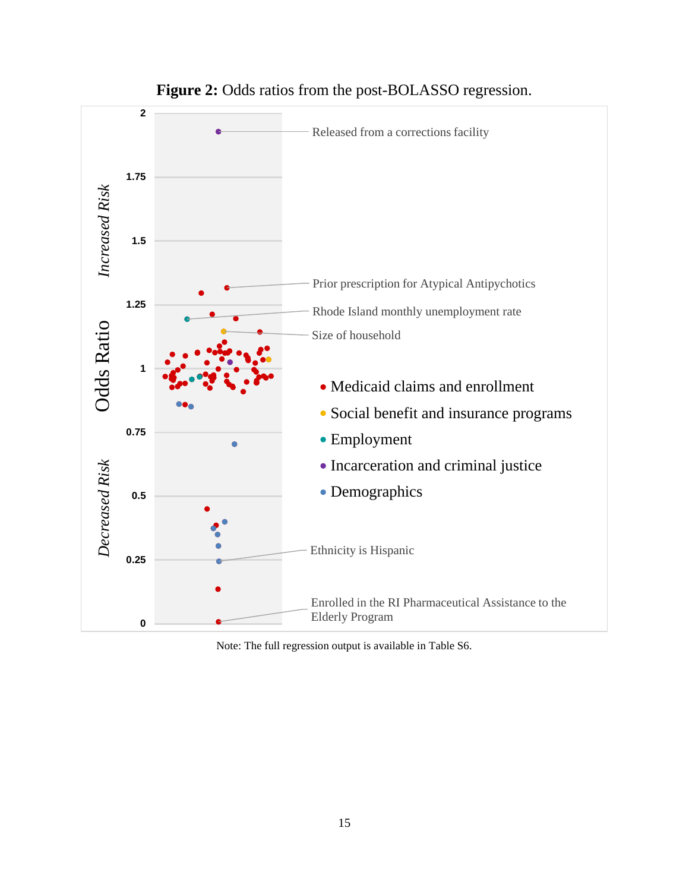

### Figure 2: Odds ratios from the post-BOLASSO regression.

Note: The full regression output is available in Table S6.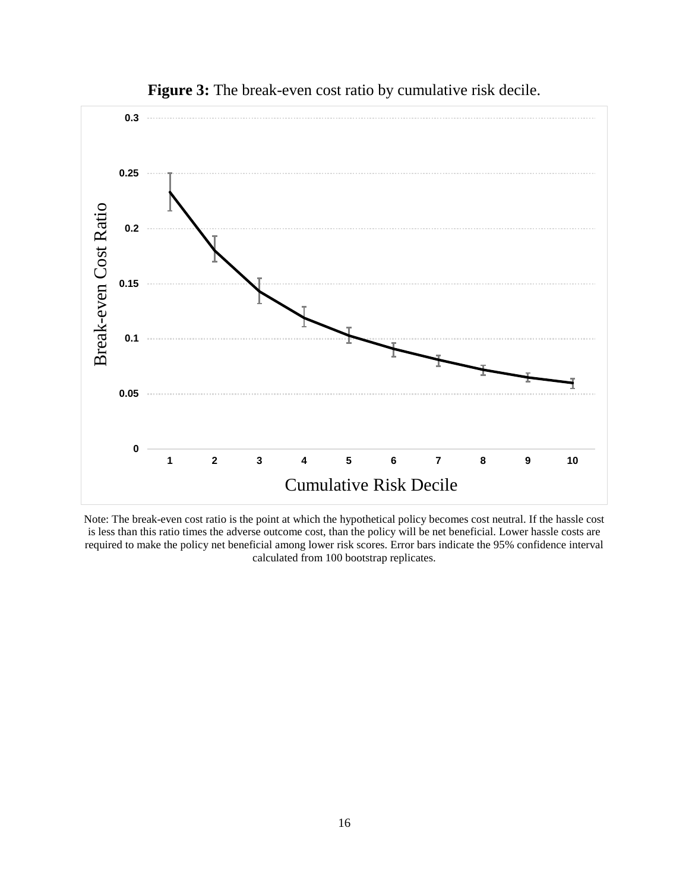

Figure 3: The break-even cost ratio by cumulative risk decile.

Note: The break-even cost ratio is the point at which the hypothetical policy becomes cost neutral. If the hassle cost is less than this ratio times the adverse outcome cost, than the policy will be net beneficial. Lower hassle costs are required to make the policy net beneficial among lower risk scores. Error bars indicate the 95% confidence interval calculated from 100 bootstrap replicates.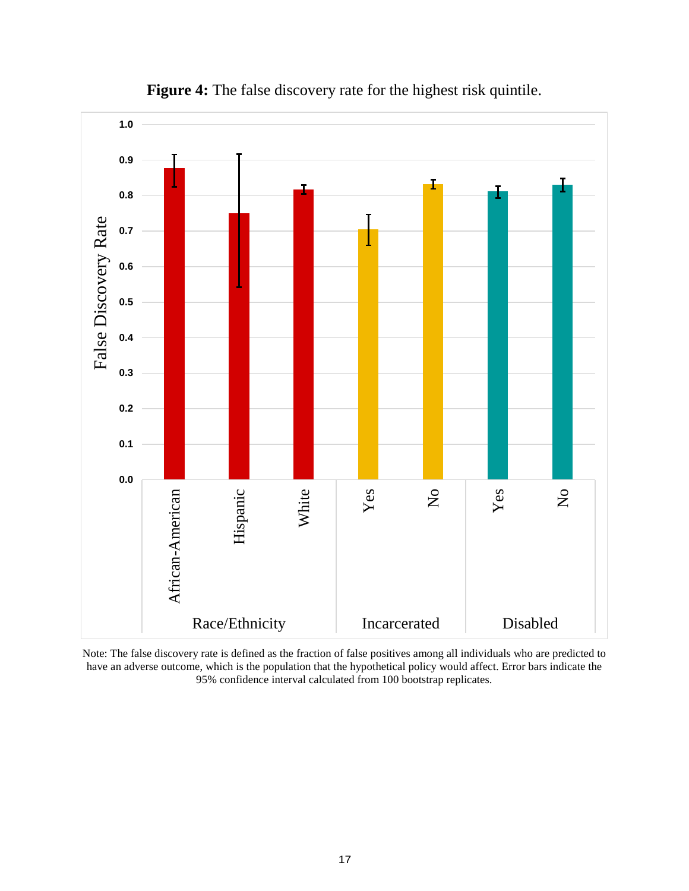



Note: The false discovery rate is defined as the fraction of false positives among all individuals who are predicted to have an adverse outcome, which is the population that the hypothetical policy would affect. Error bars indicate the 95% confidence interval calculated from 100 bootstrap replicates.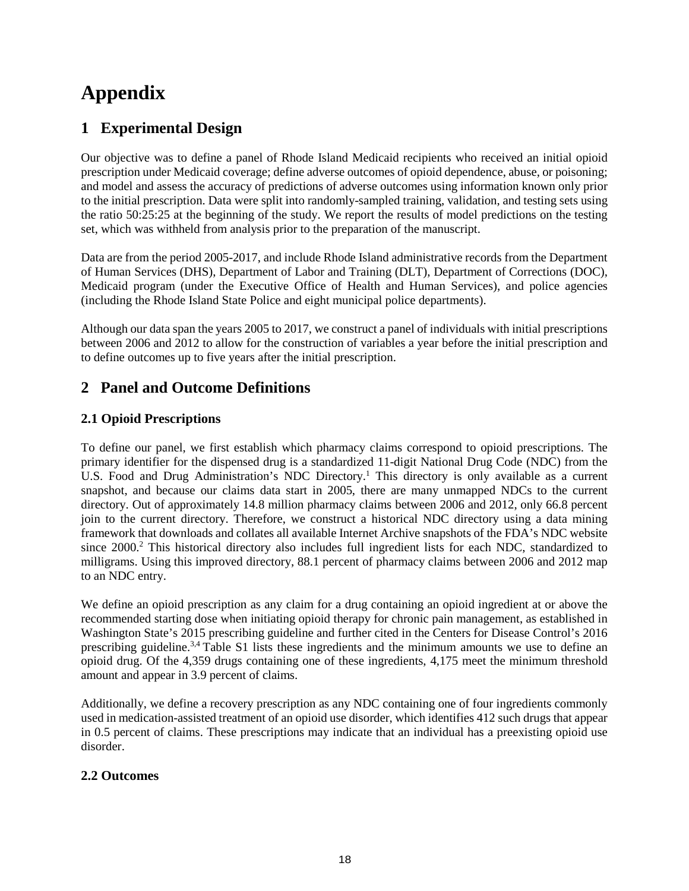# **Appendix**

# **1 Experimental Design**

Our objective was to define a panel of Rhode Island Medicaid recipients who received an initial opioid prescription under Medicaid coverage; define adverse outcomes of opioid dependence, abuse, or poisoning; and model and assess the accuracy of predictions of adverse outcomes using information known only prior to the initial prescription. Data were split into randomly-sampled training, validation, and testing sets using the ratio 50:25:25 at the beginning of the study. We report the results of model predictions on the testing set, which was withheld from analysis prior to the preparation of the manuscript.

Data are from the period 2005-2017, and include Rhode Island administrative records from the Department of Human Services (DHS), Department of Labor and Training (DLT), Department of Corrections (DOC), Medicaid program (under the Executive Office of Health and Human Services), and police agencies (including the Rhode Island State Police and eight municipal police departments).

Although our data span the years 2005 to 2017, we construct a panel of individuals with initial prescriptions between 2006 and 2012 to allow for the construction of variables a year before the initial prescription and to define outcomes up to five years after the initial prescription.

# **2 Panel and Outcome Definitions**

### **2.1 Opioid Prescriptions**

To define our panel, we first establish which pharmacy claims correspond to opioid prescriptions. The primary identifier for the dispensed drug is a standardized 11-digit National Drug Code (NDC) from the U.S. Food and Drug Administration's NDC Directory.<sup>1</sup> This directory is only available as a current snapshot, and because our claims data start in 2005, there are many unmapped NDCs to the current directory. Out of approximately 14.8 million pharmacy claims between 2006 and 2012, only 66.8 percent join to the current directory. Therefore, we construct a historical NDC directory using a data mining framework that downloads and collates all available Internet Archive snapshots of the FDA's NDC website since 2000.<sup>2</sup> This historical directory also includes full ingredient lists for each NDC, standardized to milligrams. Using this improved directory, 88.1 percent of pharmacy claims between 2006 and 2012 map to an NDC entry.

We define an opioid prescription as any claim for a drug containing an opioid ingredient at or above the recommended starting dose when initiating opioid therapy for chronic pain management, as established in Washington State's 2015 prescribing guideline and further cited in the Centers for Disease Control's 2016 prescribing guideline.<sup>3,4</sup> Table S1 lists these ingredients and the minimum amounts we use to define an opioid drug. Of the 4,359 drugs containing one of these ingredients, 4,175 meet the minimum threshold amount and appear in 3.9 percent of claims.

Additionally, we define a recovery prescription as any NDC containing one of four ingredients commonly used in medication-assisted treatment of an opioid use disorder, which identifies 412 such drugs that appear in 0.5 percent of claims. These prescriptions may indicate that an individual has a preexisting opioid use disorder.

### **2.2 Outcomes**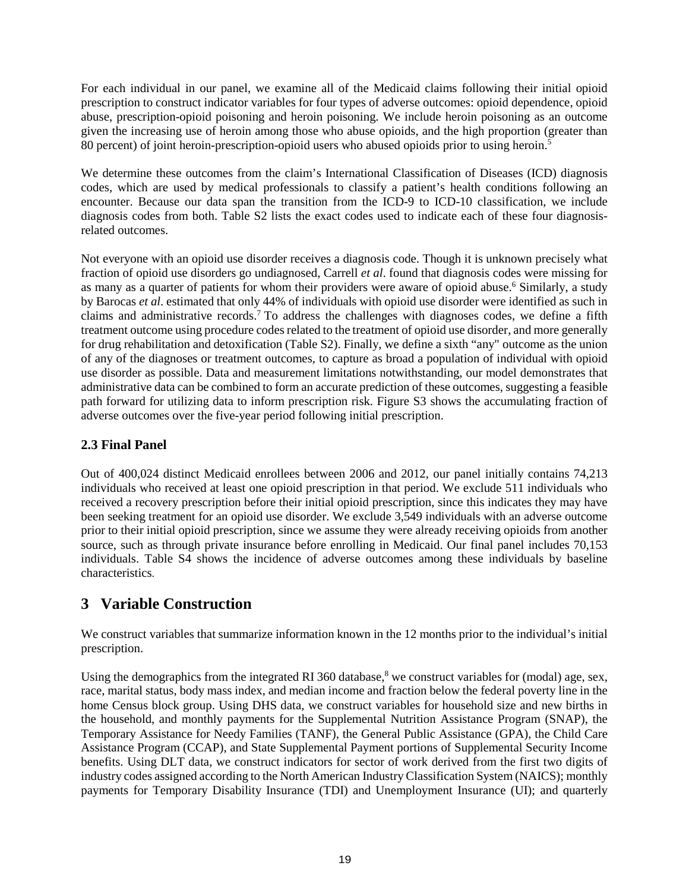For each individual in our panel, we examine all of the Medicaid claims following their initial opioid prescription to construct indicator variables for four types of adverse outcomes: opioid dependence, opioid abuse, prescription-opioid poisoning and heroin poisoning. We include heroin poisoning as an outcome given the increasing use of heroin among those who abuse opioids, and the high proportion (greater than 80 percent) of joint heroin-prescription-opioid users who abused opioids prior to using heroin.<sup>5</sup>

We determine these outcomes from the claim's International Classification of Diseases (ICD) diagnosis codes, which are used by medical professionals to classify a patient's health conditions following an encounter. Because our data span the transition from the ICD-9 to ICD-10 classification, we include diagnosis codes from both. Table S2 lists the exact codes used to indicate each of these four diagnosisrelated outcomes.

Not everyone with an opioid use disorder receives a diagnosis code. Though it is unknown precisely what fraction of opioid use disorders go undiagnosed, Carrell *et al*. found that diagnosis codes were missing for as many as a quarter of patients for whom their providers were aware of opioid abuse.<sup>6</sup> Similarly, a study by Barocas *et al*. estimated that only 44% of individuals with opioid use disorder were identified as such in claims and administrative records.7 To address the challenges with diagnoses codes, we define a fifth treatment outcome using procedure codes related to the treatment of opioid use disorder, and more generally for drug rehabilitation and detoxification (Table S2). Finally, we define a sixth "any" outcome as the union of any of the diagnoses or treatment outcomes, to capture as broad a population of individual with opioid use disorder as possible. Data and measurement limitations notwithstanding, our model demonstrates that administrative data can be combined to form an accurate prediction of these outcomes, suggesting a feasible path forward for utilizing data to inform prescription risk. Figure S3 shows the accumulating fraction of adverse outcomes over the five-year period following initial prescription.

### **2.3 Final Panel**

Out of 400,024 distinct Medicaid enrollees between 2006 and 2012, our panel initially contains 74,213 individuals who received at least one opioid prescription in that period. We exclude 511 individuals who received a recovery prescription before their initial opioid prescription, since this indicates they may have been seeking treatment for an opioid use disorder. We exclude 3,549 individuals with an adverse outcome prior to their initial opioid prescription, since we assume they were already receiving opioids from another source, such as through private insurance before enrolling in Medicaid. Our final panel includes 70,153 individuals. Table S4 shows the incidence of adverse outcomes among these individuals by baseline characteristics.

# **3 Variable Construction**

We construct variables that summarize information known in the 12 months prior to the individual's initial prescription.

Using the demographics from the integrated RI 360 database,<sup>8</sup> we construct variables for (modal) age, sex, race, marital status, body mass index, and median income and fraction below the federal poverty line in the home Census block group. Using DHS data, we construct variables for household size and new births in the household, and monthly payments for the Supplemental Nutrition Assistance Program (SNAP), the Temporary Assistance for Needy Families (TANF), the General Public Assistance (GPA), the Child Care Assistance Program (CCAP), and State Supplemental Payment portions of Supplemental Security Income benefits. Using DLT data, we construct indicators for sector of work derived from the first two digits of industry codes assigned according to the North American Industry Classification System (NAICS); monthly payments for Temporary Disability Insurance (TDI) and Unemployment Insurance (UI); and quarterly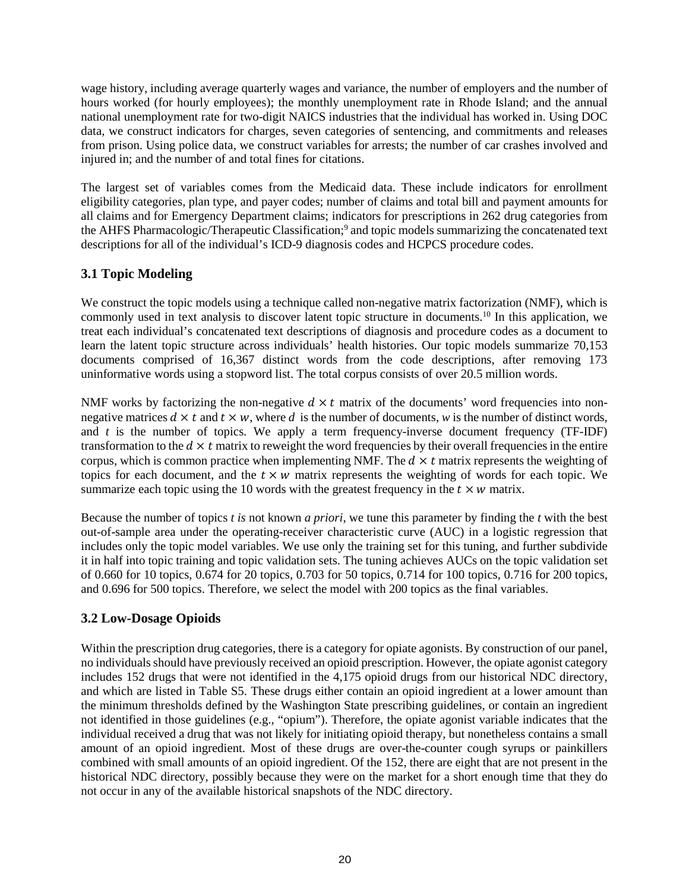wage history, including average quarterly wages and variance, the number of employers and the number of hours worked (for hourly employees); the monthly unemployment rate in Rhode Island; and the annual national unemployment rate for two-digit NAICS industries that the individual has worked in. Using DOC data, we construct indicators for charges, seven categories of sentencing, and commitments and releases from prison. Using police data, we construct variables for arrests; the number of car crashes involved and injured in; and the number of and total fines for citations.

The largest set of variables comes from the Medicaid data. These include indicators for enrollment eligibility categories, plan type, and payer codes; number of claims and total bill and payment amounts for all claims and for Emergency Department claims; indicators for prescriptions in 262 drug categories from the AHFS Pharmacologic/Therapeutic Classification; <sup>9</sup> and topic models summarizing the concatenated text descriptions for all of the individual's ICD-9 diagnosis codes and HCPCS procedure codes.

### **3.1 Topic Modeling**

We construct the topic models using a technique called non-negative matrix factorization (NMF), which is commonly used in text analysis to discover latent topic structure in documents.10 In this application, we treat each individual's concatenated text descriptions of diagnosis and procedure codes as a document to learn the latent topic structure across individuals' health histories. Our topic models summarize 70,153 documents comprised of 16,367 distinct words from the code descriptions, after removing 173 uninformative words using a stopword list. The total corpus consists of over 20.5 million words.

NMF works by factorizing the non-negative  $d \times t$  matrix of the documents' word frequencies into nonnegative matrices  $d \times t$  and  $t \times w$ , where *d* is the number of documents, *w* is the number of distinct words, and  $t$  is the number of topics. We apply a term frequency-inverse document frequency (TF-IDF) transformation to the  $d \times t$  matrix to reweight the word frequencies by their overall frequencies in the entire corpus, which is common practice when implementing NMF. The  $d \times t$  matrix represents the weighting of topics for each document, and the  $t \times w$  matrix represents the weighting of words for each topic. We summarize each topic using the 10 words with the greatest frequency in the  $t \times w$  matrix.

Because the number of topics *t is* not known *a priori*, we tune this parameter by finding the *t* with the best out-of-sample area under the operating-receiver characteristic curve (AUC) in a logistic regression that includes only the topic model variables. We use only the training set for this tuning, and further subdivide it in half into topic training and topic validation sets. The tuning achieves AUCs on the topic validation set of 0.660 for 10 topics, 0.674 for 20 topics, 0.703 for 50 topics, 0.714 for 100 topics, 0.716 for 200 topics, and 0.696 for 500 topics. Therefore, we select the model with 200 topics as the final variables.

### **3.2 Low-Dosage Opioids**

Within the prescription drug categories, there is a category for opiate agonists. By construction of our panel, no individualsshould have previously received an opioid prescription. However, the opiate agonist category includes 152 drugs that were not identified in the 4,175 opioid drugs from our historical NDC directory, and which are listed in Table S5. These drugs either contain an opioid ingredient at a lower amount than the minimum thresholds defined by the Washington State prescribing guidelines, or contain an ingredient not identified in those guidelines (e.g., "opium"). Therefore, the opiate agonist variable indicates that the individual received a drug that was not likely for initiating opioid therapy, but nonetheless contains a small amount of an opioid ingredient. Most of these drugs are over-the-counter cough syrups or painkillers combined with small amounts of an opioid ingredient. Of the 152, there are eight that are not present in the historical NDC directory, possibly because they were on the market for a short enough time that they do not occur in any of the available historical snapshots of the NDC directory.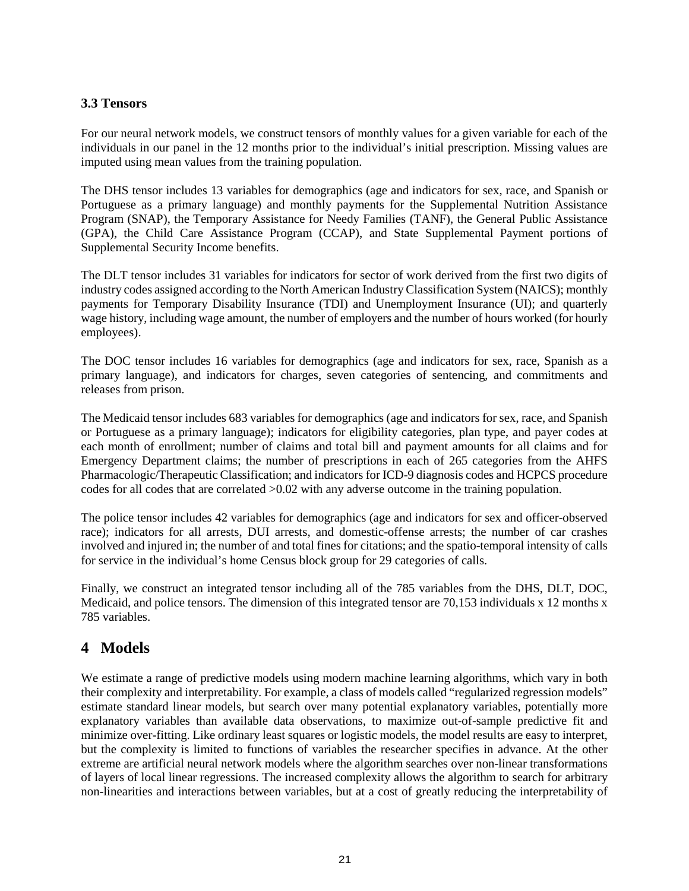### **3.3 Tensors**

For our neural network models, we construct tensors of monthly values for a given variable for each of the individuals in our panel in the 12 months prior to the individual's initial prescription. Missing values are imputed using mean values from the training population.

The DHS tensor includes 13 variables for demographics (age and indicators for sex, race, and Spanish or Portuguese as a primary language) and monthly payments for the Supplemental Nutrition Assistance Program (SNAP), the Temporary Assistance for Needy Families (TANF), the General Public Assistance (GPA), the Child Care Assistance Program (CCAP), and State Supplemental Payment portions of Supplemental Security Income benefits.

The DLT tensor includes 31 variables for indicators for sector of work derived from the first two digits of industry codes assigned according to the North American Industry Classification System (NAICS); monthly payments for Temporary Disability Insurance (TDI) and Unemployment Insurance (UI); and quarterly wage history, including wage amount, the number of employers and the number of hours worked (for hourly employees).

The DOC tensor includes 16 variables for demographics (age and indicators for sex, race, Spanish as a primary language), and indicators for charges, seven categories of sentencing, and commitments and releases from prison.

The Medicaid tensor includes 683 variables for demographics (age and indicators for sex, race, and Spanish or Portuguese as a primary language); indicators for eligibility categories, plan type, and payer codes at each month of enrollment; number of claims and total bill and payment amounts for all claims and for Emergency Department claims; the number of prescriptions in each of 265 categories from the AHFS Pharmacologic/Therapeutic Classification; and indicators for ICD-9 diagnosis codes and HCPCS procedure codes for all codes that are correlated >0.02 with any adverse outcome in the training population.

The police tensor includes 42 variables for demographics (age and indicators for sex and officer-observed race); indicators for all arrests, DUI arrests, and domestic-offense arrests; the number of car crashes involved and injured in; the number of and total fines for citations; and the spatio-temporal intensity of calls for service in the individual's home Census block group for 29 categories of calls.

Finally, we construct an integrated tensor including all of the 785 variables from the DHS, DLT, DOC, Medicaid, and police tensors. The dimension of this integrated tensor are 70,153 individuals x 12 months x 785 variables.

# **4 Models**

We estimate a range of predictive models using modern machine learning algorithms, which vary in both their complexity and interpretability. For example, a class of models called "regularized regression models" estimate standard linear models, but search over many potential explanatory variables, potentially more explanatory variables than available data observations, to maximize out-of-sample predictive fit and minimize over-fitting. Like ordinary least squares or logistic models, the model results are easy to interpret, but the complexity is limited to functions of variables the researcher specifies in advance. At the other extreme are artificial neural network models where the algorithm searches over non-linear transformations of layers of local linear regressions. The increased complexity allows the algorithm to search for arbitrary non-linearities and interactions between variables, but at a cost of greatly reducing the interpretability of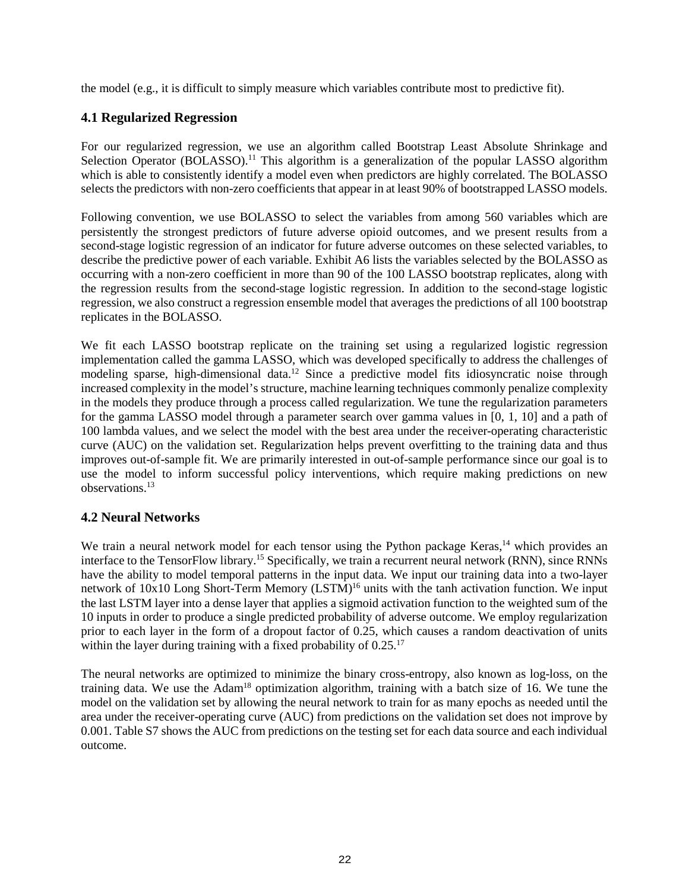the model (e.g., it is difficult to simply measure which variables contribute most to predictive fit).

### **4.1 Regularized Regression**

For our regularized regression, we use an algorithm called Bootstrap Least Absolute Shrinkage and Selection Operator (BOLASSO).<sup>11</sup> This algorithm is a generalization of the popular LASSO algorithm which is able to consistently identify a model even when predictors are highly correlated. The BOLASSO selects the predictors with non-zero coefficients that appear in at least 90% of bootstrapped LASSO models.

Following convention, we use BOLASSO to select the variables from among 560 variables which are persistently the strongest predictors of future adverse opioid outcomes, and we present results from a second-stage logistic regression of an indicator for future adverse outcomes on these selected variables, to describe the predictive power of each variable. Exhibit A6 lists the variables selected by the BOLASSO as occurring with a non-zero coefficient in more than 90 of the 100 LASSO bootstrap replicates, along with the regression results from the second-stage logistic regression. In addition to the second-stage logistic regression, we also construct a regression ensemble model that averages the predictions of all 100 bootstrap replicates in the BOLASSO.

We fit each LASSO bootstrap replicate on the training set using a regularized logistic regression implementation called the gamma LASSO, which was developed specifically to address the challenges of modeling sparse, high-dimensional data.<sup>12</sup> Since a predictive model fits idiosyncratic noise through increased complexity in the model's structure, machine learning techniques commonly penalize complexity in the models they produce through a process called regularization. We tune the regularization parameters for the gamma LASSO model through a parameter search over gamma values in [0, 1, 10] and a path of 100 lambda values, and we select the model with the best area under the receiver-operating characteristic curve (AUC) on the validation set. Regularization helps prevent overfitting to the training data and thus improves out-of-sample fit. We are primarily interested in out-of-sample performance since our goal is to use the model to inform successful policy interventions, which require making predictions on new observations.13

### **4.2 Neural Networks**

We train a neural network model for each tensor using the Python package Keras,  $\frac{1}{4}$  which provides an interface to the TensorFlow library.15 Specifically, we train a recurrent neural network (RNN), since RNNs have the ability to model temporal patterns in the input data. We input our training data into a two-layer network of 10x10 Long Short-Term Memory (LSTM)<sup>16</sup> units with the tanh activation function. We input the last LSTM layer into a dense layer that applies a sigmoid activation function to the weighted sum of the 10 inputs in order to produce a single predicted probability of adverse outcome. We employ regularization prior to each layer in the form of a dropout factor of 0.25, which causes a random deactivation of units within the layer during training with a fixed probability of  $0.25$ .<sup>17</sup>

The neural networks are optimized to minimize the binary cross-entropy, also known as log-loss, on the training data. We use the Adam18 optimization algorithm, training with a batch size of 16. We tune the model on the validation set by allowing the neural network to train for as many epochs as needed until the area under the receiver-operating curve (AUC) from predictions on the validation set does not improve by 0.001. Table S7 shows the AUC from predictions on the testing set for each data source and each individual outcome.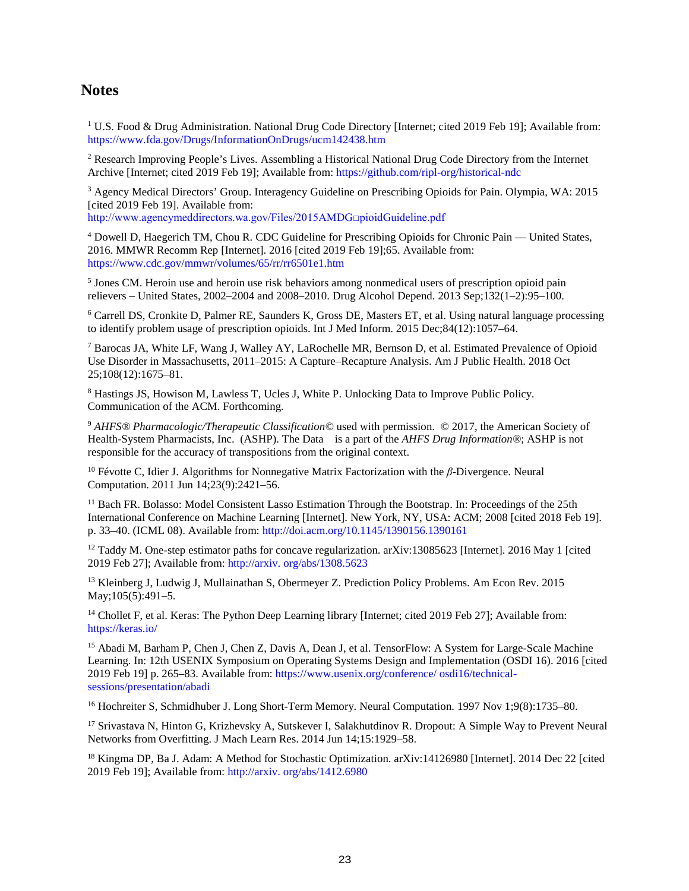### **Notes**

<sup>1</sup> U.S. Food & Drug Administration. National Drug Code Directory [Internet; cited 2019 Feb 19]; Available from: [https://www.fda.gov/Drugs/Informa](https://www.fda.gov/Drugs/InformationOnDrugs/ucm142438.htm)tionOnDrugs[/ucm142438.htm](https://www.fda.gov/Drugs/InformationOnDrugs/ucm142438.htm)

<sup>2</sup> Research Improving People's Lives. Assembling a Historical National Drug Code Directory from the Internet Archive [Internet; cited 2019 Feb 19]; Available from:<https://github.com/ripl-org/historical-ndc>

<sup>3</sup> Agency Medical Directors' Group. Interagency Guideline on Prescribing Opioids for Pain. Olympia, WA: 2015 [cited 2019 Feb 19]. Available from:

[http:](http://www.agencymeddirectors.wa.gov/Files/2015AMDGOpioidGuideline.pdf)[//www.agencymeddirectors.wa.gov/Files/2015AMDG□pioidGuideline.pdf](http://www.agencymeddirectors.wa.gov/Files/2015AMDGOpioidGuideline.pdf)

<sup>4</sup> Dowell D, Haegerich TM, Chou R. CDC Guideline for Prescribing Opioids for Chronic Pain — United States, 2016. MMWR Recomm Rep [Internet]. 2016 [cited 2019 Feb 19];65. Available from: <https://www.cdc.gov/mmwr/volumes/65/rr/rr6501e1.htm>

<sup>5</sup> Jones CM. Heroin use and heroin use risk behaviors among nonmedical users of prescription opioid pain relievers – United States, 2002–2004 and 2008–2010. Drug Alcohol Depend. 2013 Sep;132(1–2):95–100.

<sup>6</sup> Carrell DS, Cronkite D, Palmer RE, Saunders K, Gross DE, Masters ET, et al. Using natural language processing to identify problem usage of prescription opioids. Int J Med Inform. 2015 Dec;84(12):1057–64.

<sup>7</sup> Barocas JA, White LF, Wang J, Walley AY, LaRochelle MR, Bernson D, et al. Estimated Prevalence of Opioid Use Disorder in Massachusetts, 2011–2015: A Capture–Recapture Analysis. Am J Public Health. 2018 Oct 25;108(12):1675–81.

<sup>8</sup> Hastings JS, Howison M, Lawless T, Ucles J, White P. Unlocking Data to Improve Public Policy. Communication of the ACM. Forthcoming.

<sup>9</sup> *AHFS® Pharmacologic/Therapeutic Classification©* used with permission. © 2017, the American Society of Health-System Pharmacists, Inc. (ASHP). The Data is a part of the *AHFS Drug Information®*; ASHP is not responsible for the accuracy of transpositions from the original context.

<sup>10</sup> Févotte C, Idier J. Algorithms for Nonnegative Matrix Factorization with the *β*-Divergence. Neural Computation. 2011 Jun 14;23(9):2421–56.

<sup>11</sup> Bach FR. Bolasso: Model Consistent Lasso Estimation Through the Bootstrap. In: Proceedings of the 25th International Conference on Machine Learning [Internet]. New York, NY, USA: ACM; 2008 [cited 2018 Feb 19]. p. 33–40. (ICML 08). Available from:<http://doi.acm.org/10.1145/1390156.1390161>

<sup>12</sup> Taddy M. One-step estimator paths for concave regularization. arXiv:13085623 [Internet]. 2016 May 1 [cited] 2019 Feb 27]; Available from[: http://arxiv.](http://arxiv.org/abs/1308.5623) [org/abs/1308.5623](http://arxiv.org/abs/1308.5623)

<sup>13</sup> Kleinberg J, Ludwig J, Mullainathan S, Obermeyer Z. Prediction Policy Problems. Am Econ Rev. 2015 May;105(5):491-5.

<sup>14</sup> Chollet F, et al. Keras: The Python Deep Learning library [Internet; cited 2019 Feb 27]; Available from: <https://keras.io/>

<sup>15</sup> Abadi M, Barham P, Chen J, Chen Z, Davis A, Dean J, et al. TensorFlow: A System for Large-Scale Machine Learning. In: 12th USENIX Symposium on Operating Systems Design and Implementation (OSDI 16). 2016 [cited 2019 Feb 19] p. 265–83. Available from: [https://www.usenix.org/conference/](https://www.usenix.org/conference/osdi16/technical-sessions/presentation/abadi) [osdi16/technical](https://www.usenix.org/conference/osdi16/technical-sessions/presentation/abadi)[sessions/presentation/abadi](https://www.usenix.org/conference/osdi16/technical-sessions/presentation/abadi)

<sup>16</sup> Hochreiter S, Schmidhuber J. Long Short-Term Memory. Neural Computation. 1997 Nov 1;9(8):1735–80.

<sup>17</sup> Srivastava N, Hinton G, Krizhevsky A, Sutskever I, Salakhutdinov R. Dropout: A Simple Way to Prevent Neural Networks from Overfitting. J Mach Learn Res. 2014 Jun 14;15:1929–58.

<sup>18</sup> Kingma DP, Ba J. Adam: A Method for Stochastic Optimization. arXiv:14126980 [Internet]. 2014 Dec 22 [cited 2019 Feb 19]; Available from: [http://arxiv.](http://arxiv.org/abs/1412.6980) [org/abs/1412.6980](http://arxiv.org/abs/1412.6980)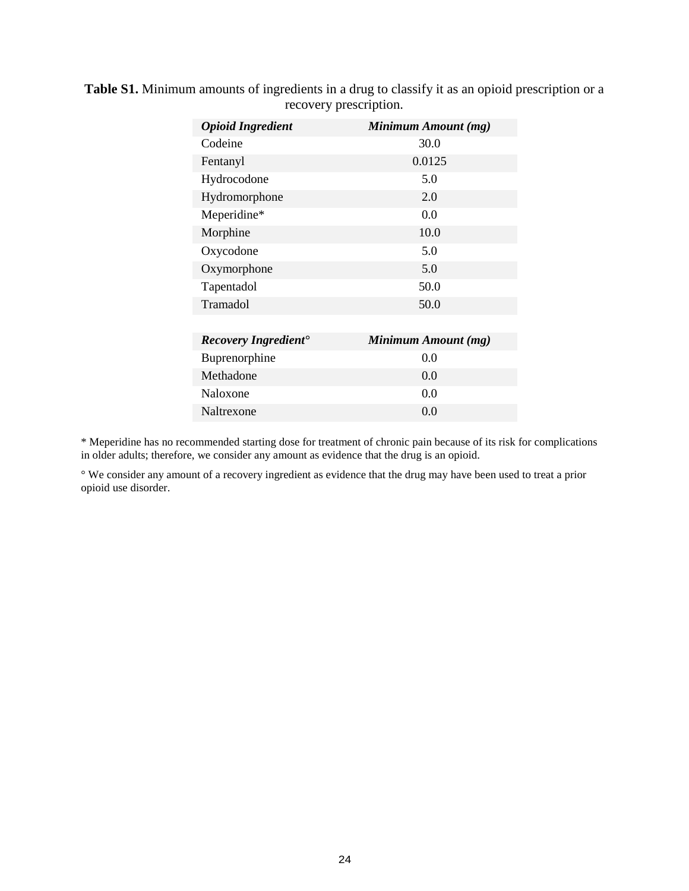| <b>Opioid Ingredient</b>                | Minimum Amount (mg) |
|-----------------------------------------|---------------------|
| Codeine                                 | 30.0                |
| Fentanyl                                | 0.0125              |
| Hydrocodone                             | 5.0                 |
| Hydromorphone                           | 2.0                 |
| Meperidine*                             | 0.0                 |
| Morphine                                | 10.0                |
| Oxycodone                               | 5.0                 |
| Oxymorphone                             | 5.0                 |
| Tapentadol                              | 50.0                |
| Tramadol                                | 50.0                |
|                                         |                     |
| <b>Recovery Ingredient</b> <sup>•</sup> | Minimum Amount (mg) |
| Buprenorphine                           | 0.0                 |
| Methadone                               | 0.0                 |
| Naloxone                                | 0.0                 |
| Naltrexone                              | 0.0                 |

**Table S1.** Minimum amounts of ingredients in a drug to classify it as an opioid prescription or a recovery prescription.

\* Meperidine has no recommended starting dose for treatment of chronic pain because of its risk for complications in older adults; therefore, we consider any amount as evidence that the drug is an opioid.

° We consider any amount of a recovery ingredient as evidence that the drug may have been used to treat a prior opioid use disorder.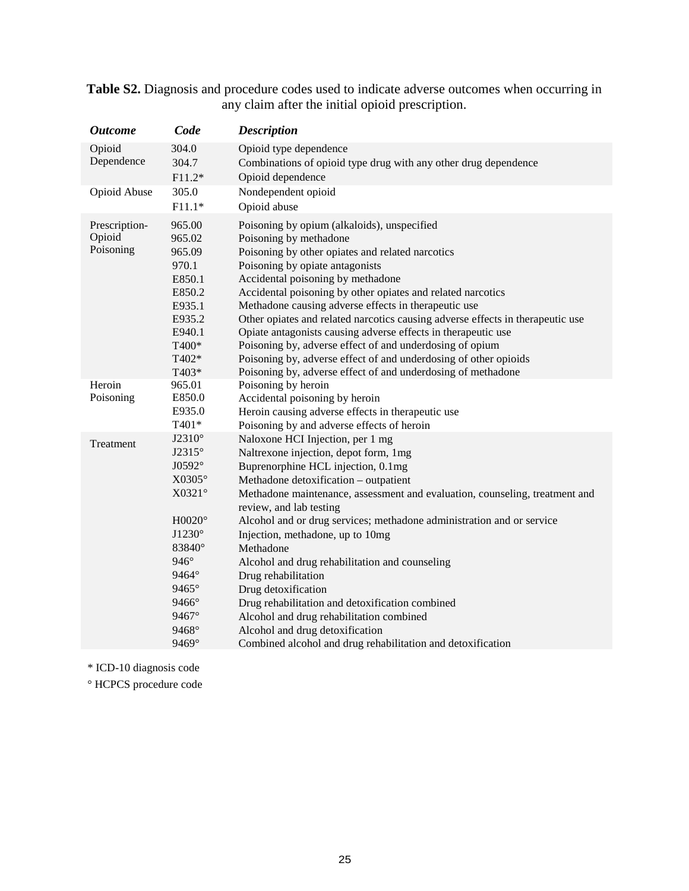| <b>Outcome</b>                       | Code                                                                                                                                            | <b>Description</b>                                                                                                                                                                                                                                                                                                                                                                                                                                                                                                                                                                                                                                                          |
|--------------------------------------|-------------------------------------------------------------------------------------------------------------------------------------------------|-----------------------------------------------------------------------------------------------------------------------------------------------------------------------------------------------------------------------------------------------------------------------------------------------------------------------------------------------------------------------------------------------------------------------------------------------------------------------------------------------------------------------------------------------------------------------------------------------------------------------------------------------------------------------------|
| Opioid<br>Dependence                 | 304.0<br>304.7<br>$F11.2*$                                                                                                                      | Opioid type dependence<br>Combinations of opioid type drug with any other drug dependence<br>Opioid dependence                                                                                                                                                                                                                                                                                                                                                                                                                                                                                                                                                              |
| Opioid Abuse                         | 305.0<br>$F11.1*$                                                                                                                               | Nondependent opioid<br>Opioid abuse                                                                                                                                                                                                                                                                                                                                                                                                                                                                                                                                                                                                                                         |
| Prescription-<br>Opioid<br>Poisoning | 965.00<br>965.02<br>965.09<br>970.1<br>E850.1<br>E850.2<br>E935.1<br>E935.2<br>E940.1<br>T400*<br>T402*<br>T403*                                | Poisoning by opium (alkaloids), unspecified<br>Poisoning by methadone<br>Poisoning by other opiates and related narcotics<br>Poisoning by opiate antagonists<br>Accidental poisoning by methadone<br>Accidental poisoning by other opiates and related narcotics<br>Methadone causing adverse effects in therapeutic use<br>Other opiates and related narcotics causing adverse effects in therapeutic use<br>Opiate antagonists causing adverse effects in therapeutic use<br>Poisoning by, adverse effect of and underdosing of opium<br>Poisoning by, adverse effect of and underdosing of other opioids<br>Poisoning by, adverse effect of and underdosing of methadone |
| Heroin                               | 965.01                                                                                                                                          | Poisoning by heroin                                                                                                                                                                                                                                                                                                                                                                                                                                                                                                                                                                                                                                                         |
| Poisoning                            | E850.0<br>E935.0<br>T401*                                                                                                                       | Accidental poisoning by heroin<br>Heroin causing adverse effects in therapeutic use<br>Poisoning by and adverse effects of heroin                                                                                                                                                                                                                                                                                                                                                                                                                                                                                                                                           |
| Treatment                            | J2310°<br>J2315°<br>J0592°<br>X0305°<br>X0321°<br>$H0020^\circ$<br>J1230°<br>83840°<br>$946^\circ$<br>9464°<br>9465°<br>9466°<br>9467°<br>9468° | Naloxone HCI Injection, per 1 mg<br>Naltrexone injection, depot form, 1mg<br>Buprenorphine HCL injection, 0.1mg<br>Methadone detoxification - outpatient<br>Methadone maintenance, assessment and evaluation, counseling, treatment and<br>review, and lab testing<br>Alcohol and or drug services; methadone administration and or service<br>Injection, methadone, up to 10mg<br>Methadone<br>Alcohol and drug rehabilitation and counseling<br>Drug rehabilitation<br>Drug detoxification<br>Drug rehabilitation and detoxification combined<br>Alcohol and drug rehabilitation combined<br>Alcohol and drug detoxification                                              |
|                                      | 9469°                                                                                                                                           | Combined alcohol and drug rehabilitation and detoxification                                                                                                                                                                                                                                                                                                                                                                                                                                                                                                                                                                                                                 |

**Table S2.** Diagnosis and procedure codes used to indicate adverse outcomes when occurring in any claim after the initial opioid prescription.

\* ICD-10 diagnosis code

° HCPCS procedure code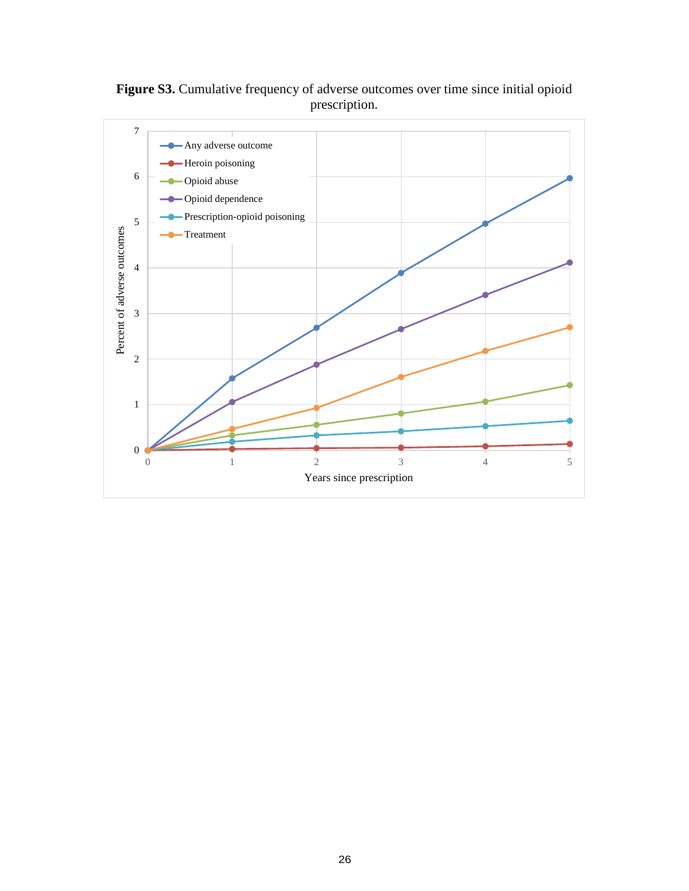

Figure S3. Cumulative frequency of adverse outcomes over time since initial opioid prescription.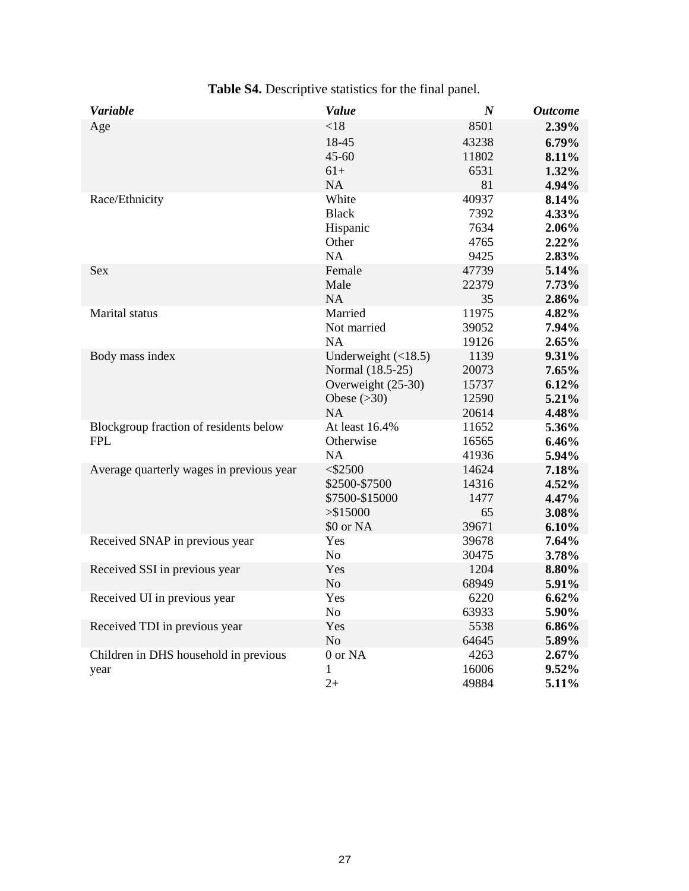| <b>Variable</b>                          | Value                        | $\boldsymbol{N}$ | <b>Outcome</b> |
|------------------------------------------|------------------------------|------------------|----------------|
| Age                                      | < 18                         | 8501             | 2.39%          |
|                                          | 18-45                        | 43238            | 6.79%          |
|                                          | $45 - 60$                    | 11802            | 8.11%          |
|                                          | $61+$                        | 6531             | 1.32%          |
|                                          | <b>NA</b>                    | 81               | 4.94%          |
| Race/Ethnicity                           | White                        | 40937            | 8.14%          |
|                                          | <b>Black</b>                 | 7392             | 4.33%          |
|                                          | Hispanic                     | 7634             | 2.06%          |
|                                          | Other                        | 4765             | $2.22\%$       |
|                                          | <b>NA</b>                    | 9425             | 2.83%          |
| <b>Sex</b>                               | Female                       | 47739            | 5.14%          |
|                                          | Male                         | 22379            | 7.73%          |
|                                          | <b>NA</b>                    | 35               | 2.86%          |
| Marital status                           | Married                      | 11975            | 4.82%          |
|                                          | Not married                  | 39052            | 7.94%          |
|                                          | NA                           | 19126            | 2.65%          |
| Body mass index                          | Underweight $(\langle 18.5)$ | 1139             | 9.31%          |
|                                          | Normal (18.5-25)             | 20073            | 7.65%          |
|                                          | Overweight (25-30)           | 15737            | 6.12%          |
|                                          | Obese $(>30)$                | 12590            | 5.21%          |
|                                          | <b>NA</b>                    | 20614            | 4.48%          |
| Blockgroup fraction of residents below   | At least 16.4%               | 11652            | 5.36%          |
| <b>FPL</b>                               | Otherwise                    | 16565            | 6.46%          |
|                                          | <b>NA</b>                    | 41936            | 5.94%          |
| Average quarterly wages in previous year | $<$ \$2500                   | 14624            | 7.18%          |
|                                          | \$2500-\$7500                | 14316            | 4.52%          |
|                                          | \$7500-\$15000               | 1477             | 4.47%          |
|                                          | > \$15000                    | 65               | 3.08%          |
|                                          | \$0 or NA                    | 39671            | 6.10%          |
| Received SNAP in previous year           | Yes                          | 39678            | 7.64%          |
|                                          | No                           | 30475            | 3.78%          |
| Received SSI in previous year            | Yes                          | 1204             | 8.80%          |
|                                          | No                           | 68949            | 5.91%          |
| Received UI in previous year             | Yes                          | 6220             | 6.62%          |
|                                          | N <sub>o</sub>               | 63933            | 5.90%          |
| Received TDI in previous year            | Yes                          | 5538             | 6.86%          |
|                                          | N <sub>o</sub>               | 64645            | 5.89%          |
| Children in DHS household in previous    | 0 or NA                      | 4263             | $2.67\%$       |
| year                                     | 1                            | 16006            | 9.52%          |
|                                          | $2+$                         | 49884            | 5.11%          |

**Table S4.** Descriptive statistics for the final panel.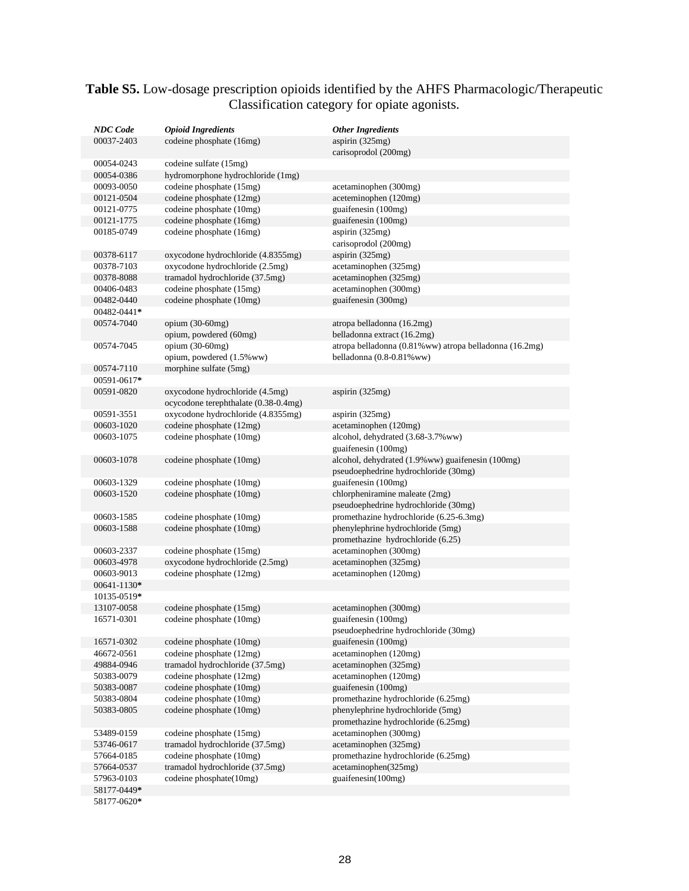### **Table S5.** Low-dosage prescription opioids identified by the AHFS Pharmacologic/Therapeutic Classification category for opiate agonists.

| <b>NDC</b> Code           | <b>Opioid Ingredients</b>                                      | <b>Other Ingredients</b>                                |
|---------------------------|----------------------------------------------------------------|---------------------------------------------------------|
| 00037-2403                | codeine phosphate (16mg)                                       | aspirin (325mg)                                         |
|                           |                                                                | carisoprodol (200mg)                                    |
| 00054-0243                | codeine sulfate (15mg)                                         |                                                         |
| 00054-0386                | hydromorphone hydrochloride (1mg)                              |                                                         |
| 00093-0050                | codeine phosphate (15mg)                                       | acetaminophen (300mg)                                   |
| 00121-0504                | codeine phosphate (12mg)                                       | aceteminophen (120mg)                                   |
| 00121-0775<br>00121-1775  | codeine phosphate (10mg)<br>codeine phosphate (16mg)           | guaifenesin (100mg)<br>guaifenesin (100mg)              |
| 00185-0749                | codeine phosphate (16mg)                                       | aspirin (325mg)                                         |
|                           |                                                                | carisoprodol (200mg)                                    |
| 00378-6117                | oxycodone hydrochloride (4.8355mg)                             | aspirin $(325mg)$                                       |
| 00378-7103                | oxycodone hydrochloride (2.5mg)                                | acetaminophen (325mg)                                   |
| 00378-8088                | tramadol hydrochloride (37.5mg)                                | acetaminophen (325mg)                                   |
| 00406-0483                | codeine phosphate (15mg)                                       | acetaminophen (300mg)                                   |
| 00482-0440                | codeine phosphate (10mg)                                       | guaifenesin (300mg)                                     |
| 00482-0441*               |                                                                |                                                         |
| 00574-7040                | opium $(30-60mg)$                                              | atropa belladonna (16.2mg)                              |
|                           | opium, powdered (60mg)                                         | belladonna extract (16.2mg)                             |
| 00574-7045                | opium (30-60mg)                                                | atropa belladonna (0.81% ww) atropa belladonna (16.2mg) |
|                           | opium, powdered (1.5% ww)                                      | belladonna (0.8-0.81% ww)                               |
| 00574-7110                | morphine sulfate (5mg)                                         |                                                         |
| 00591-0617*               |                                                                |                                                         |
| 00591-0820                | oxycodone hydrochloride (4.5mg)                                | aspirin (325mg)                                         |
|                           | ocycodone terephthalate (0.38-0.4mg)                           |                                                         |
| 00591-3551                | oxycodone hydrochloride (4.8355mg)<br>codeine phosphate (12mg) | aspirin (325mg)<br>acetaminophen (120mg)                |
| 00603-1020<br>00603-1075  | codeine phosphate (10mg)                                       | alcohol, dehydrated (3.68-3.7% ww)                      |
|                           |                                                                | guaifenesin (100mg)                                     |
| 00603-1078                | codeine phosphate (10mg)                                       | alcohol, dehydrated (1.9% ww) guaifenesin (100mg)       |
|                           |                                                                | pseudoephedrine hydrochloride (30mg)                    |
| 00603-1329                | codeine phosphate (10mg)                                       | guaifenesin (100mg)                                     |
| 00603-1520                | codeine phosphate (10mg)                                       | chlorpheniramine maleate (2mg)                          |
|                           |                                                                | pseudoephedrine hydrochloride (30mg)                    |
| 00603-1585                | codeine phosphate (10mg)                                       | promethazine hydrochloride (6.25-6.3mg)                 |
| 00603-1588                | codeine phosphate (10mg)                                       | phenylephrine hydrochloride (5mg)                       |
|                           |                                                                | promethazine hydrochloride (6.25)                       |
| 00603-2337                | codeine phosphate (15mg)                                       | acetaminophen (300mg)                                   |
| 00603-4978                | oxycodone hydrochloride (2.5mg)                                | acetaminophen (325mg)                                   |
| 00603-9013                | codeine phosphate (12mg)                                       | acetaminophen (120mg)                                   |
| 00641-1130*               |                                                                |                                                         |
| 10135-0519*<br>13107-0058 | codeine phosphate (15mg)                                       | acetaminophen (300mg)                                   |
| 16571-0301                | codeine phosphate (10mg)                                       | guaifenesin (100mg)                                     |
|                           |                                                                | pseudoephedrine hydrochloride (30mg)                    |
| 16571-0302                | codeine phosphate (10mg)                                       | guaifenesin (100mg)                                     |
| 46672-0561                | codeine phosphate (12mg)                                       | acetaminophen (120mg)                                   |
| 49884-0946                | tramadol hydrochloride (37.5mg)                                | acetaminophen (325mg)                                   |
| 50383-0079                | codeine phosphate (12mg)                                       | acetaminophen (120mg)                                   |
| 50383-0087                | codeine phosphate (10mg)                                       | guaifenesin (100mg)                                     |
| 50383-0804                | codeine phosphate (10mg)                                       | promethazine hydrochloride (6.25mg)                     |
| 50383-0805                | codeine phosphate (10mg)                                       | phenylephrine hydrochloride (5mg)                       |
|                           |                                                                | promethazine hydrochloride (6.25mg)                     |
| 53489-0159                | codeine phosphate (15mg)                                       | acetaminophen (300mg)                                   |
| 53746-0617                | tramadol hydrochloride (37.5mg)                                | acetaminophen (325mg)                                   |
| 57664-0185                | codeine phosphate (10mg)                                       | promethazine hydrochloride (6.25mg)                     |
| 57664-0537                | tramadol hydrochloride (37.5mg)                                | acetaminophen(325mg)                                    |
| 57963-0103                | codeine phosphate(10mg)                                        | guaifenesin(100mg)                                      |
| 58177-0449*               |                                                                |                                                         |
| 58177-0620*               |                                                                |                                                         |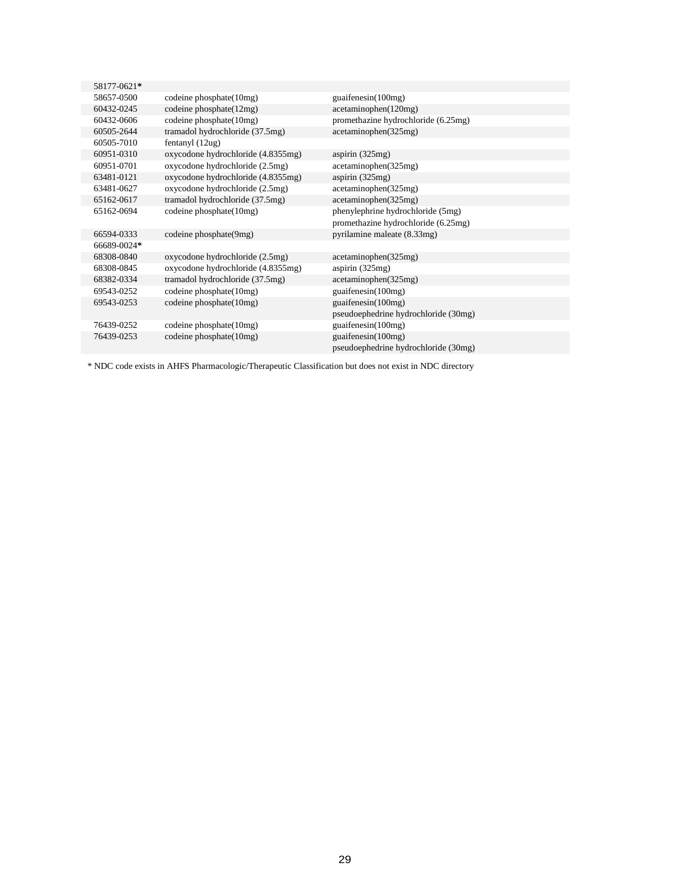| 58177-0621* |                                    |                                      |
|-------------|------------------------------------|--------------------------------------|
| 58657-0500  | codeine phosphate(10mg)            | guaifenesin(100mg)                   |
| 60432-0245  | codeine phosphate(12mg)            | acetaminophen(120mg)                 |
| 60432-0606  | codeine phosphate(10mg)            | promethazine hydrochloride (6.25mg)  |
| 60505-2644  | tramadol hydrochloride (37.5mg)    | acetaminophen(325mg)                 |
| 60505-7010  | fentanyl (12ug)                    |                                      |
| 60951-0310  | oxycodone hydrochloride (4.8355mg) | aspirin $(325mg)$                    |
| 60951-0701  | oxycodone hydrochloride (2.5mg)    | acetaminophen(325mg)                 |
| 63481-0121  | oxycodone hydrochloride (4.8355mg) | aspirin $(325mg)$                    |
| 63481-0627  | oxycodone hydrochloride (2.5mg)    | acetaminophen(325mg)                 |
| 65162-0617  | tramadol hydrochloride (37.5mg)    | acetaminophen(325mg)                 |
| 65162-0694  | codeine phosphate(10mg)            | phenylephrine hydrochloride (5mg)    |
|             |                                    | promethazine hydrochloride (6.25mg)  |
| 66594-0333  | codeine phosphate(9mg)             | pyrilamine maleate (8.33mg)          |
| 66689-0024* |                                    |                                      |
| 68308-0840  | oxycodone hydrochloride (2.5mg)    | acetaminophen(325mg)                 |
| 68308-0845  | oxycodone hydrochloride (4.8355mg) | aspirin $(325mg)$                    |
| 68382-0334  | tramadol hydrochloride (37.5mg)    | acetaminophen(325mg)                 |
| 69543-0252  | codeine phosphate(10mg)            | guaifenesin(100mg)                   |
| 69543-0253  | codeine phosphate(10mg)            | guaifenesin $(100mg)$                |
|             |                                    | pseudoephedrine hydrochloride (30mg) |
| 76439-0252  | codeine phosphate(10mg)            | guaifenesin $(100mg)$                |
| 76439-0253  | codeine phosphate(10mg)            | guaifenesin $(100mg)$                |
|             |                                    | pseudoephedrine hydrochloride (30mg) |
|             |                                    |                                      |

\* NDC code exists in AHFS Pharmacologic/Therapeutic Classification but does not exist in NDC directory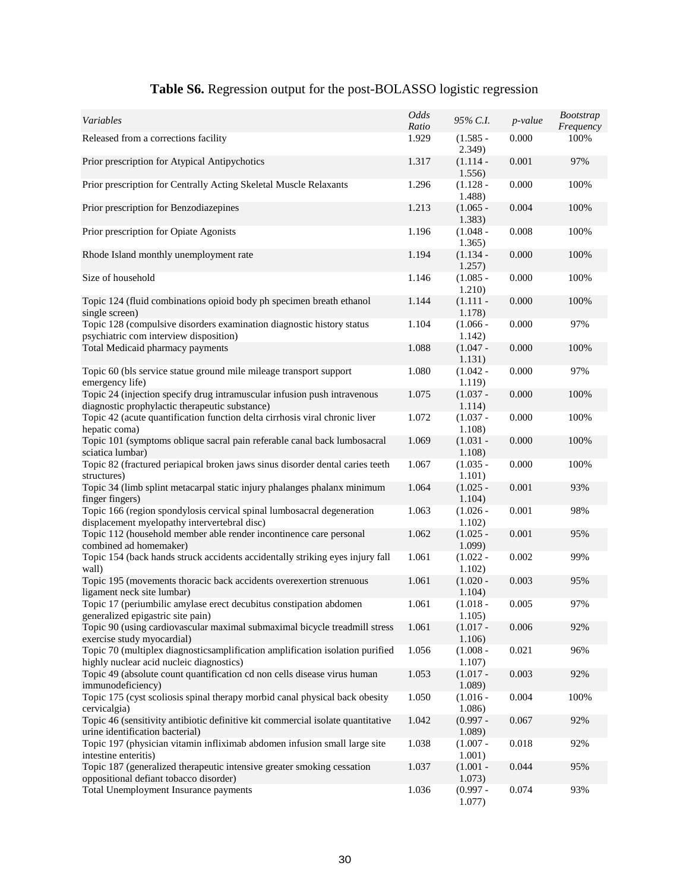| Variables                                                                                                                  | Odds<br>Ratio | 95% C.I.                | p-value | <b>Bootstrap</b><br>Frequency |
|----------------------------------------------------------------------------------------------------------------------------|---------------|-------------------------|---------|-------------------------------|
| Released from a corrections facility                                                                                       | 1.929         | $(1.585 -$<br>2.349)    | 0.000   | 100%                          |
| Prior prescription for Atypical Antipychotics                                                                              | 1.317         | $(1.114 -$<br>1.556)    | 0.001   | 97%                           |
| Prior prescription for Centrally Acting Skeletal Muscle Relaxants                                                          | 1.296         | $(1.128 -$<br>1.488)    | 0.000   | 100%                          |
| Prior prescription for Benzodiazepines                                                                                     | 1.213         | $(1.065 -$<br>1.383)    | 0.004   | 100%                          |
| Prior prescription for Opiate Agonists                                                                                     | 1.196         | $(1.048 -$<br>1.365)    | 0.008   | 100%                          |
| Rhode Island monthly unemployment rate                                                                                     | 1.194         | $(1.134 -$<br>1.257)    | 0.000   | 100%                          |
| Size of household                                                                                                          | 1.146         | $(1.085 -$<br>1.210)    | 0.000   | 100%                          |
| Topic 124 (fluid combinations opioid body ph specimen breath ethanol<br>single screen)                                     | 1.144         | $(1.111 -$<br>1.178)    | 0.000   | 100%                          |
| Topic 128 (compulsive disorders examination diagnostic history status<br>psychiatric com interview disposition)            | 1.104         | $(1.066 -$<br>1.142)    | 0.000   | 97%                           |
| Total Medicaid pharmacy payments                                                                                           | 1.088         | $(1.047 -$<br>1.131)    | 0.000   | 100%                          |
| Topic 60 (bls service statue ground mile mileage transport support<br>emergency life)                                      | 1.080         | $(1.042 -$<br>1.119)    | 0.000   | 97%                           |
| Topic 24 (injection specify drug intramuscular infusion push intravenous<br>diagnostic prophylactic therapeutic substance) | 1.075         | $(1.037 -$<br>1.114)    | 0.000   | 100%                          |
| Topic 42 (acute quantification function delta cirrhosis viral chronic liver<br>hepatic coma)                               | 1.072         | $(1.037 -$<br>1.108)    | 0.000   | 100%                          |
| Topic 101 (symptoms oblique sacral pain referable canal back lumbosacral<br>sciatica lumbar)                               | 1.069         | $(1.031 -$<br>1.108)    | 0.000   | 100%                          |
| Topic 82 (fractured periapical broken jaws sinus disorder dental caries teeth<br>structures)                               | 1.067         | $(1.035 -$<br>1.101)    | 0.000   | 100%                          |
| Topic 34 (limb splint metacarpal static injury phalanges phalanx minimum<br>finger fingers)                                | 1.064         | $(1.025 -$<br>1.104)    | 0.001   | 93%                           |
| Topic 166 (region spondylosis cervical spinal lumbosacral degeneration<br>displacement myelopathy intervertebral disc)     | 1.063         | $(1.026 -$<br>1.102)    | 0.001   | 98%                           |
| Topic 112 (household member able render incontinence care personal<br>combined ad homemaker)                               | 1.062         | $(1.025 -$<br>$1.099$ ) | 0.001   | 95%                           |
| Topic 154 (back hands struck accidents accidentally striking eyes injury fall<br>wall)                                     | 1.061         | $(1.022 -$<br>1.102)    | 0.002   | 99%                           |
| Topic 195 (movements thoracic back accidents overexertion strenuous<br>ligament neck site lumbar)                          | 1.061         | $(1.020 -$<br>1.104)    | 0.003   | 95%                           |
| Topic 17 (periumbilic amylase erect decubitus constipation abdomen<br>generalized epigastric site pain)                    | 1.061         | $(1.018 -$<br>1.105)    | 0.005   | 97%                           |
| Topic 90 (using cardiovascular maximal submaximal bicycle treadmill stress<br>exercise study myocardial)                   | 1.061         | $(1.017 -$<br>1.106)    | 0.006   | 92%                           |
| Topic 70 (multiplex diagnosticsamplification amplification isolation purified<br>highly nuclear acid nucleic diagnostics)  | 1.056         | $(1.008 -$<br>1.107)    | 0.021   | 96%                           |
| Topic 49 (absolute count quantification cd non cells disease virus human<br>immunodeficiency)                              | 1.053         | $(1.017 -$<br>1.089     | 0.003   | 92%                           |
| Topic 175 (cyst scoliosis spinal therapy morbid canal physical back obesity<br>cervicalgia)                                | 1.050         | $(1.016 -$<br>1.086)    | 0.004   | 100%                          |
| Topic 46 (sensitivity antibiotic definitive kit commercial isolate quantitative<br>urine identification bacterial)         | 1.042         | $(0.997 -$<br>1.089     | 0.067   | 92%                           |
| Topic 197 (physician vitamin infliximab abdomen infusion small large site<br>intestine enteritis)                          | 1.038         | $(1.007 -$<br>1.001)    | 0.018   | 92%                           |
| Topic 187 (generalized therapeutic intensive greater smoking cessation<br>oppositional defiant tobacco disorder)           | 1.037         | $(1.001 -$<br>1.073)    | 0.044   | 95%                           |
| Total Unemployment Insurance payments                                                                                      | 1.036         | $(0.997 -$<br>1.077)    | 0.074   | 93%                           |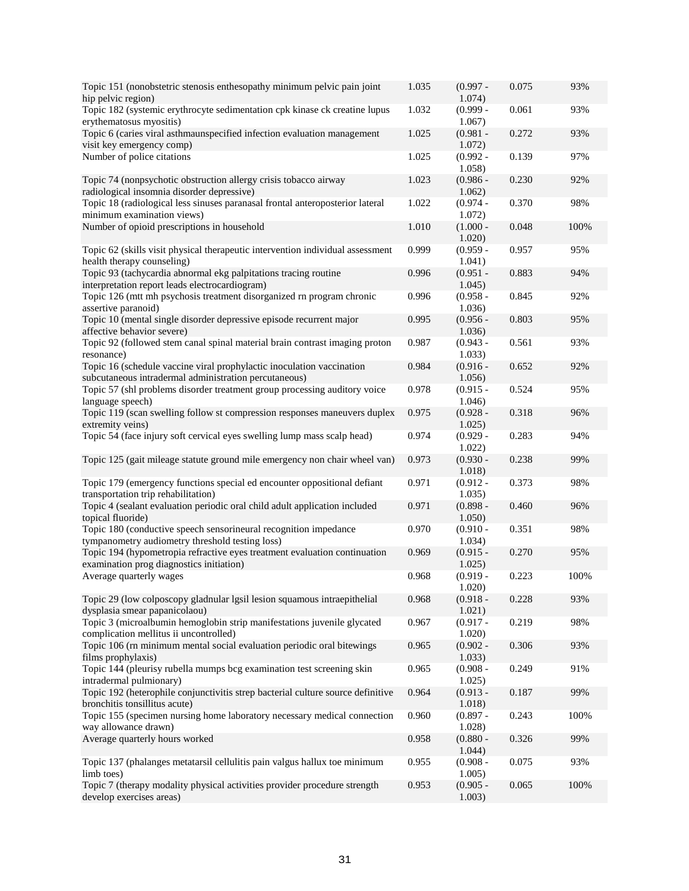| Topic 151 (nonobstetric stenosis enthesopathy minimum pelvic pain joint<br>hip pelvic region)                                  | 1.035 | $(0.997 -$<br>1.074)    | 0.075 | 93%  |
|--------------------------------------------------------------------------------------------------------------------------------|-------|-------------------------|-------|------|
| Topic 182 (systemic erythrocyte sedimentation cpk kinase ck creatine lupus<br>erythematosus myositis)                          | 1.032 | $(0.999 -$<br>1.067)    | 0.061 | 93%  |
| Topic 6 (caries viral asthmaunspecified infection evaluation management<br>visit key emergency comp)                           | 1.025 | $(0.981 -$<br>1.072)    | 0.272 | 93%  |
| Number of police citations                                                                                                     | 1.025 | $(0.992 -$<br>$1.058$ ) | 0.139 | 97%  |
| Topic 74 (nonpsychotic obstruction allergy crisis tobacco airway<br>radiological insomnia disorder depressive)                 | 1.023 | $(0.986 -$<br>1.062)    | 0.230 | 92%  |
| Topic 18 (radiological less sinuses paranasal frontal anteroposterior lateral<br>minimum examination views)                    | 1.022 | $(0.974 -$<br>1.072)    | 0.370 | 98%  |
| Number of opioid prescriptions in household                                                                                    | 1.010 | $(1.000 -$<br>1.020)    | 0.048 | 100% |
| Topic 62 (skills visit physical therapeutic intervention individual assessment<br>health therapy counseling)                   | 0.999 | $(0.959 -$<br>1.041)    | 0.957 | 95%  |
| Topic 93 (tachycardia abnormal ekg palpitations tracing routine<br>interpretation report leads electrocardiogram)              | 0.996 | $(0.951 -$<br>1.045)    | 0.883 | 94%  |
| Topic 126 (mtt mh psychosis treatment disorganized rn program chronic<br>assertive paranoid)                                   | 0.996 | $(0.958 -$<br>1.036)    | 0.845 | 92%  |
| Topic 10 (mental single disorder depressive episode recurrent major<br>affective behavior severe)                              | 0.995 | $(0.956 -$<br>1.036)    | 0.803 | 95%  |
| Topic 92 (followed stem canal spinal material brain contrast imaging proton<br>resonance)                                      | 0.987 | $(0.943 -$<br>1.033)    | 0.561 | 93%  |
| Topic 16 (schedule vaccine viral prophylactic inoculation vaccination<br>subcutaneous intradermal administration percutaneous) | 0.984 | $(0.916 -$<br>1.056)    | 0.652 | 92%  |
| Topic 57 (shl problems disorder treatment group processing auditory voice<br>language speech)                                  | 0.978 | $(0.915 -$<br>1.046)    | 0.524 | 95%  |
| Topic 119 (scan swelling follow st compression responses maneuvers duplex<br>extremity veins)                                  | 0.975 | $(0.928 -$<br>1.025)    | 0.318 | 96%  |
| Topic 54 (face injury soft cervical eyes swelling lump mass scalp head)                                                        | 0.974 | $(0.929 -$<br>1.022)    | 0.283 | 94%  |
| Topic 125 (gait mileage statute ground mile emergency non chair wheel van)                                                     | 0.973 | $(0.930 -$<br>1.018)    | 0.238 | 99%  |
| Topic 179 (emergency functions special ed encounter oppositional defiant<br>transportation trip rehabilitation)                | 0.971 | $(0.912 -$<br>1.035)    | 0.373 | 98%  |
| Topic 4 (sealant evaluation periodic oral child adult application included<br>topical fluoride)                                | 0.971 | $(0.898 -$<br>1.050)    | 0.460 | 96%  |
| Topic 180 (conductive speech sensorineural recognition impedance<br>tympanometry audiometry threshold testing loss)            | 0.970 | $(0.910 -$<br>1.034)    | 0.351 | 98%  |
| Topic 194 (hypometropia refractive eyes treatment evaluation continuation<br>examination prog diagnostics initiation)          | 0.969 | $(0.915 -$<br>1.025)    | 0.270 | 95%  |
| Average quarterly wages                                                                                                        | 0.968 | $(0.919 -$<br>1.020)    | 0.223 | 100% |
| Topic 29 (low colposcopy gladnular lgsil lesion squamous intraepithelial<br>dysplasia smear papanicolaou)                      | 0.968 | $(0.918 -$<br>1.021)    | 0.228 | 93%  |
| Topic 3 (microalbumin hemoglobin strip manifestations juvenile glycated<br>complication mellitus ii uncontrolled)              | 0.967 | $(0.917 -$<br>1.020)    | 0.219 | 98%  |
| Topic 106 (rn minimum mental social evaluation periodic oral bitewings<br>films prophylaxis)                                   | 0.965 | $(0.902 -$<br>1.033)    | 0.306 | 93%  |
| Topic 144 (pleurisy rubella mumps bcg examination test screening skin<br>intradermal pulmionary)                               | 0.965 | $(0.908 -$<br>1.025)    | 0.249 | 91%  |
| Topic 192 (heterophile conjunctivitis strep bacterial culture source definitive<br>bronchitis tonsillitus acute)               | 0.964 | $(0.913 -$<br>1.018)    | 0.187 | 99%  |
| Topic 155 (specimen nursing home laboratory necessary medical connection<br>way allowance drawn)                               | 0.960 | $(0.897 -$<br>1.028)    | 0.243 | 100% |
| Average quarterly hours worked                                                                                                 | 0.958 | $(0.880 -$<br>1.044)    | 0.326 | 99%  |
| Topic 137 (phalanges metatarsil cellulitis pain valgus hallux toe minimum<br>limb toes)                                        | 0.955 | $(0.908 -$<br>1.005)    | 0.075 | 93%  |
| Topic 7 (therapy modality physical activities provider procedure strength<br>develop exercises areas)                          | 0.953 | $(0.905 -$<br>1.003)    | 0.065 | 100% |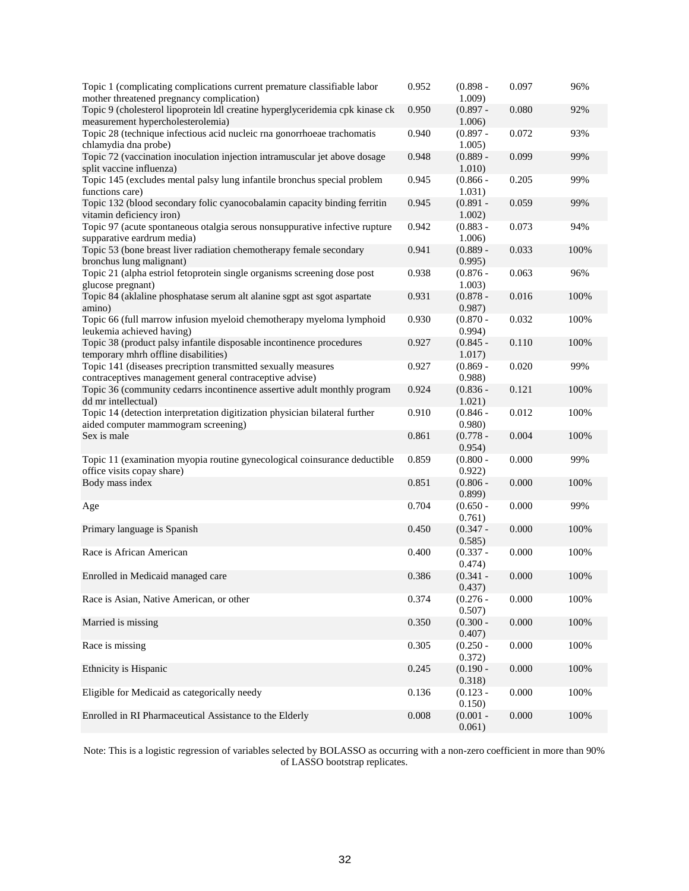| Topic 1 (complicating complications current premature classifiable labor<br>mother threatened pregnancy complication)    | 0.952 | $(0.898 -$<br>1.009) | 0.097 | 96%  |
|--------------------------------------------------------------------------------------------------------------------------|-------|----------------------|-------|------|
| Topic 9 (cholesterol lipoprotein ldl creatine hyperglyceridemia cpk kinase ck<br>measurement hypercholesterolemia)       | 0.950 | $(0.897 -$<br>1.006) | 0.080 | 92%  |
| Topic 28 (technique infectious acid nucleic rna gonorrhoeae trachomatis<br>chlamydia dna probe)                          | 0.940 | $(0.897 -$<br>1.005) | 0.072 | 93%  |
| Topic 72 (vaccination inoculation injection intramuscular jet above dosage<br>split vaccine influenza)                   | 0.948 | $(0.889 -$<br>1.010) | 0.099 | 99%  |
| Topic 145 (excludes mental palsy lung infantile bronchus special problem<br>functions care)                              | 0.945 | $(0.866 -$<br>1.031) | 0.205 | 99%  |
| Topic 132 (blood secondary folic cyanocobalamin capacity binding ferritin<br>vitamin deficiency iron)                    | 0.945 | $(0.891 -$<br>1.002) | 0.059 | 99%  |
| Topic 97 (acute spontaneous otalgia serous nonsuppurative infective rupture<br>supparative eardrum media)                | 0.942 | $(0.883 -$<br>1.006) | 0.073 | 94%  |
| Topic 53 (bone breast liver radiation chemotherapy female secondary<br>bronchus lung malignant)                          | 0.941 | $(0.889 -$<br>0.995) | 0.033 | 100% |
| Topic 21 (alpha estriol fetoprotein single organisms screening dose post<br>glucose pregnant)                            | 0.938 | $(0.876 -$<br>1.003) | 0.063 | 96%  |
| Topic 84 (aklaline phosphatase serum alt alanine sgpt ast sgot aspartate<br>amino)                                       | 0.931 | $(0.878 -$<br>0.987) | 0.016 | 100% |
| Topic 66 (full marrow infusion myeloid chemotherapy myeloma lymphoid<br>leukemia achieved having)                        | 0.930 | $(0.870 -$<br>0.994) | 0.032 | 100% |
| Topic 38 (product palsy infantile disposable incontinence procedures<br>temporary mhrh offline disabilities)             | 0.927 | $(0.845 -$<br>1.017) | 0.110 | 100% |
| Topic 141 (diseases precription transmitted sexually measures<br>contraceptives management general contraceptive advise) | 0.927 | $(0.869 -$<br>0.988  | 0.020 | 99%  |
| Topic 36 (community cedarrs incontinence assertive adult monthly program<br>dd mr intellectual)                          | 0.924 | $(0.836 -$<br>1.021) | 0.121 | 100% |
| Topic 14 (detection interpretation digitization physician bilateral further<br>aided computer mammogram screening)       | 0.910 | $(0.846 -$<br>0.980) | 0.012 | 100% |
| Sex is male                                                                                                              | 0.861 | $(0.778 -$<br>0.954) | 0.004 | 100% |
| Topic 11 (examination myopia routine gynecological coinsurance deductible<br>office visits copay share)                  | 0.859 | $(0.800 -$<br>0.922) | 0.000 | 99%  |
| Body mass index                                                                                                          | 0.851 | $(0.806 -$<br>0.899  | 0.000 | 100% |
| Age                                                                                                                      | 0.704 | $(0.650 -$<br>0.761) | 0.000 | 99%  |
| Primary language is Spanish                                                                                              | 0.450 | $(0.347 -$<br>0.585) | 0.000 | 100% |
| Race is African American                                                                                                 | 0.400 | $(0.337 -$<br>0.474) | 0.000 | 100% |
| Enrolled in Medicaid managed care                                                                                        | 0.386 | $(0.341 -$<br>0.437) | 0.000 | 100% |
| Race is Asian, Native American, or other                                                                                 | 0.374 | $(0.276 -$<br>0.507) | 0.000 | 100% |
| Married is missing                                                                                                       | 0.350 | $(0.300 -$<br>0.407) | 0.000 | 100% |
| Race is missing                                                                                                          | 0.305 | $(0.250 -$<br>0.372) | 0.000 | 100% |
| Ethnicity is Hispanic                                                                                                    | 0.245 | $(0.190 -$<br>0.318) | 0.000 | 100% |
| Eligible for Medicaid as categorically needy                                                                             | 0.136 | $(0.123 -$<br>0.150) | 0.000 | 100% |
| Enrolled in RI Pharmaceutical Assistance to the Elderly                                                                  | 0.008 | $(0.001 -$<br>0.061) | 0.000 | 100% |

Note: This is a logistic regression of variables selected by BOLASSO as occurring with a non-zero coefficient in more than 90% of LASSO bootstrap replicates.